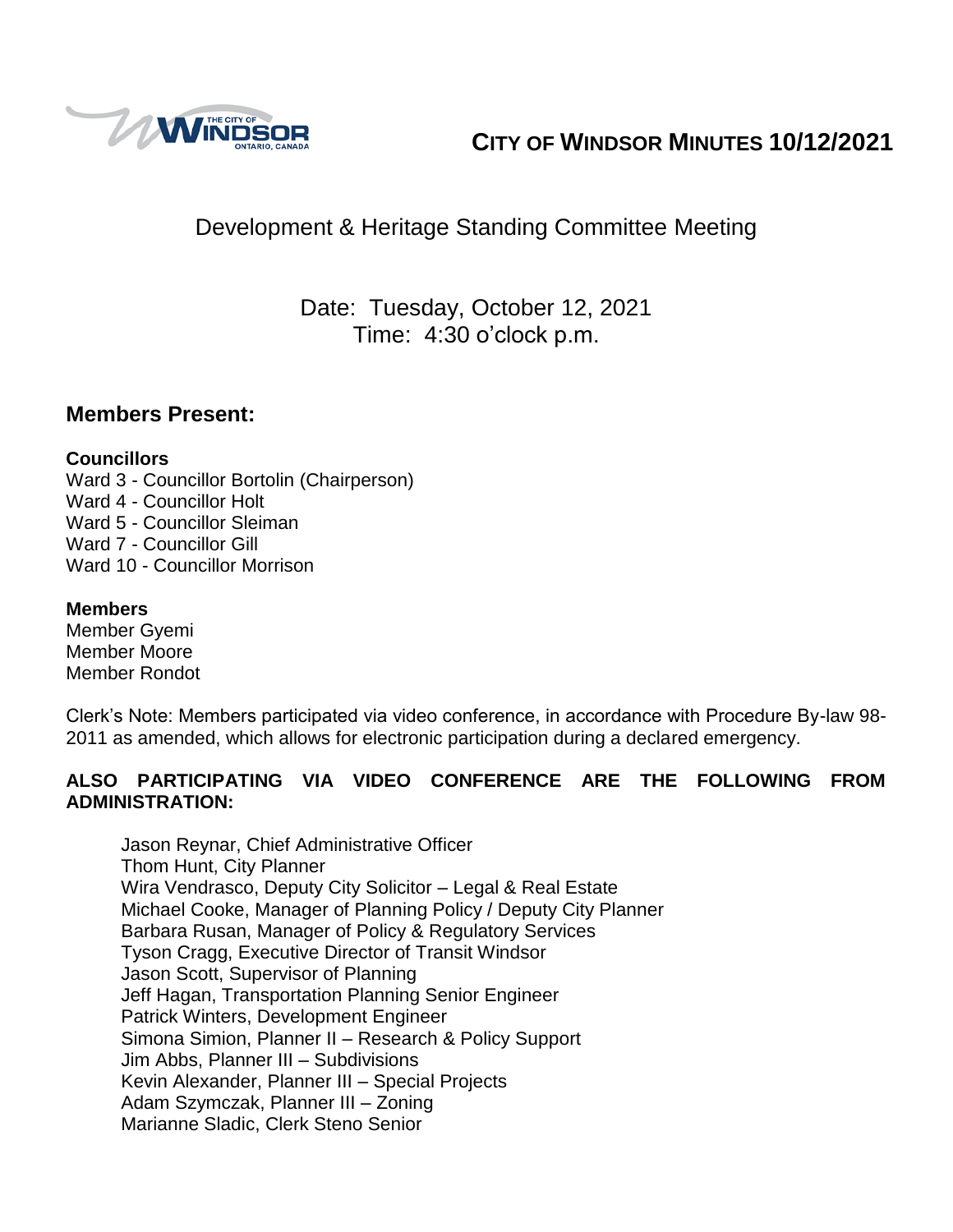

# **CITY OF WINDSOR MINUTES 10/12/2021**

# Development & Heritage Standing Committee Meeting

Date: Tuesday, October 12, 2021 Time: 4:30 o'clock p.m.

### **Members Present:**

### **Councillors**

Ward 3 - Councillor Bortolin (Chairperson) Ward 4 - Councillor Holt Ward 5 - Councillor Sleiman Ward 7 - Councillor Gill Ward 10 - Councillor Morrison

### **Members**

Member Gyemi Member Moore Member Rondot

Clerk's Note: Members participated via video conference, in accordance with Procedure By-law 98- 2011 as amended, which allows for electronic participation during a declared emergency.

### **ALSO PARTICIPATING VIA VIDEO CONFERENCE ARE THE FOLLOWING FROM ADMINISTRATION:**

Jason Reynar, Chief Administrative Officer Thom Hunt, City Planner Wira Vendrasco, Deputy City Solicitor – Legal & Real Estate Michael Cooke, Manager of Planning Policy / Deputy City Planner Barbara Rusan, Manager of Policy & Regulatory Services Tyson Cragg, Executive Director of Transit Windsor Jason Scott, Supervisor of Planning Jeff Hagan, Transportation Planning Senior Engineer Patrick Winters, Development Engineer Simona Simion, Planner II – Research & Policy Support Jim Abbs, Planner III – Subdivisions Kevin Alexander, Planner III – Special Projects Adam Szymczak, Planner III – Zoning Marianne Sladic, Clerk Steno Senior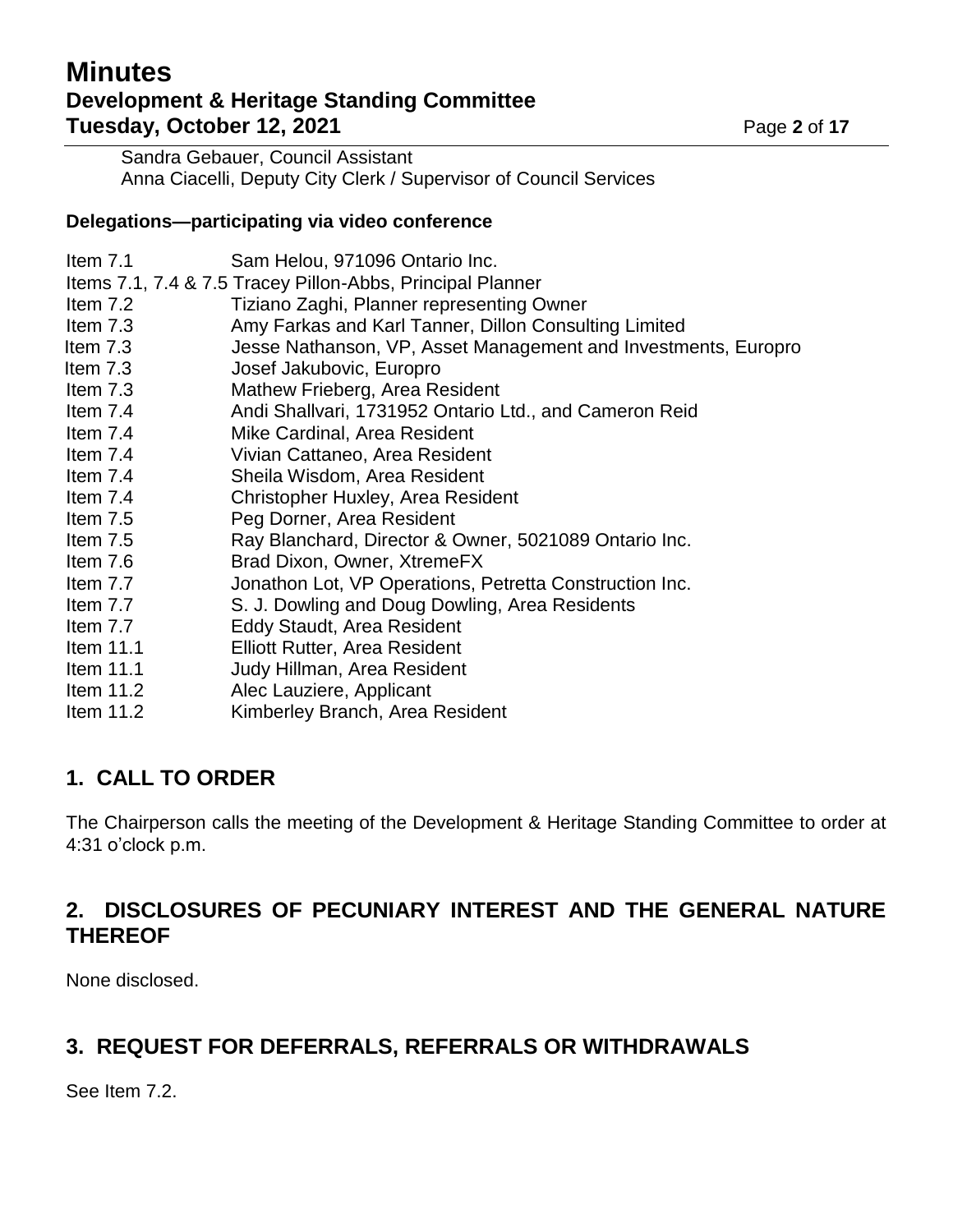# **Minutes Development & Heritage Standing Committee Tuesday, October 12, 2021** Page 2 of 17

Sandra Gebauer, Council Assistant Anna Ciacelli, Deputy City Clerk / Supervisor of Council Services

### **Delegations—participating via video conference**

| Item $7.1$  | Sam Helou, 971096 Ontario Inc.                                 |
|-------------|----------------------------------------------------------------|
|             | Items 7.1, 7.4 & 7.5 Tracey Pillon-Abbs, Principal Planner     |
| Item $7.2$  | Tiziano Zaghi, Planner representing Owner                      |
| Item $7.3$  | Amy Farkas and Karl Tanner, Dillon Consulting Limited          |
| Item $7.3$  | Jesse Nathanson, VP, Asset Management and Investments, Europro |
| Item $7.3$  | Josef Jakubovic, Europro                                       |
| Item $7.3$  | Mathew Frieberg, Area Resident                                 |
| Item $7.4$  | Andi Shallvari, 1731952 Ontario Ltd., and Cameron Reid         |
| Item $7.4$  | Mike Cardinal, Area Resident                                   |
| Item $7.4$  | Vivian Cattaneo, Area Resident                                 |
| Item $7.4$  | Sheila Wisdom, Area Resident                                   |
| Item 7.4    | Christopher Huxley, Area Resident                              |
| Item $7.5$  | Peg Dorner, Area Resident                                      |
| Item 7.5    | Ray Blanchard, Director & Owner, 5021089 Ontario Inc.          |
| Item 7.6    | Brad Dixon, Owner, XtremeFX                                    |
| Item 7.7    | Jonathon Lot, VP Operations, Petretta Construction Inc.        |
| Item 7.7    | S. J. Dowling and Doug Dowling, Area Residents                 |
| Item $7.7$  | <b>Eddy Staudt, Area Resident</b>                              |
| Item $11.1$ | <b>Elliott Rutter, Area Resident</b>                           |
| Item $11.1$ | Judy Hillman, Area Resident                                    |
| Item $11.2$ | Alec Lauziere, Applicant                                       |
| Item $11.2$ | Kimberley Branch, Area Resident                                |

# **1. CALL TO ORDER**

The Chairperson calls the meeting of the Development & Heritage Standing Committee to order at 4:31 o'clock p.m.

## **2. DISCLOSURES OF PECUNIARY INTEREST AND THE GENERAL NATURE THEREOF**

None disclosed.

# **3. REQUEST FOR DEFERRALS, REFERRALS OR WITHDRAWALS**

See Item 7.2.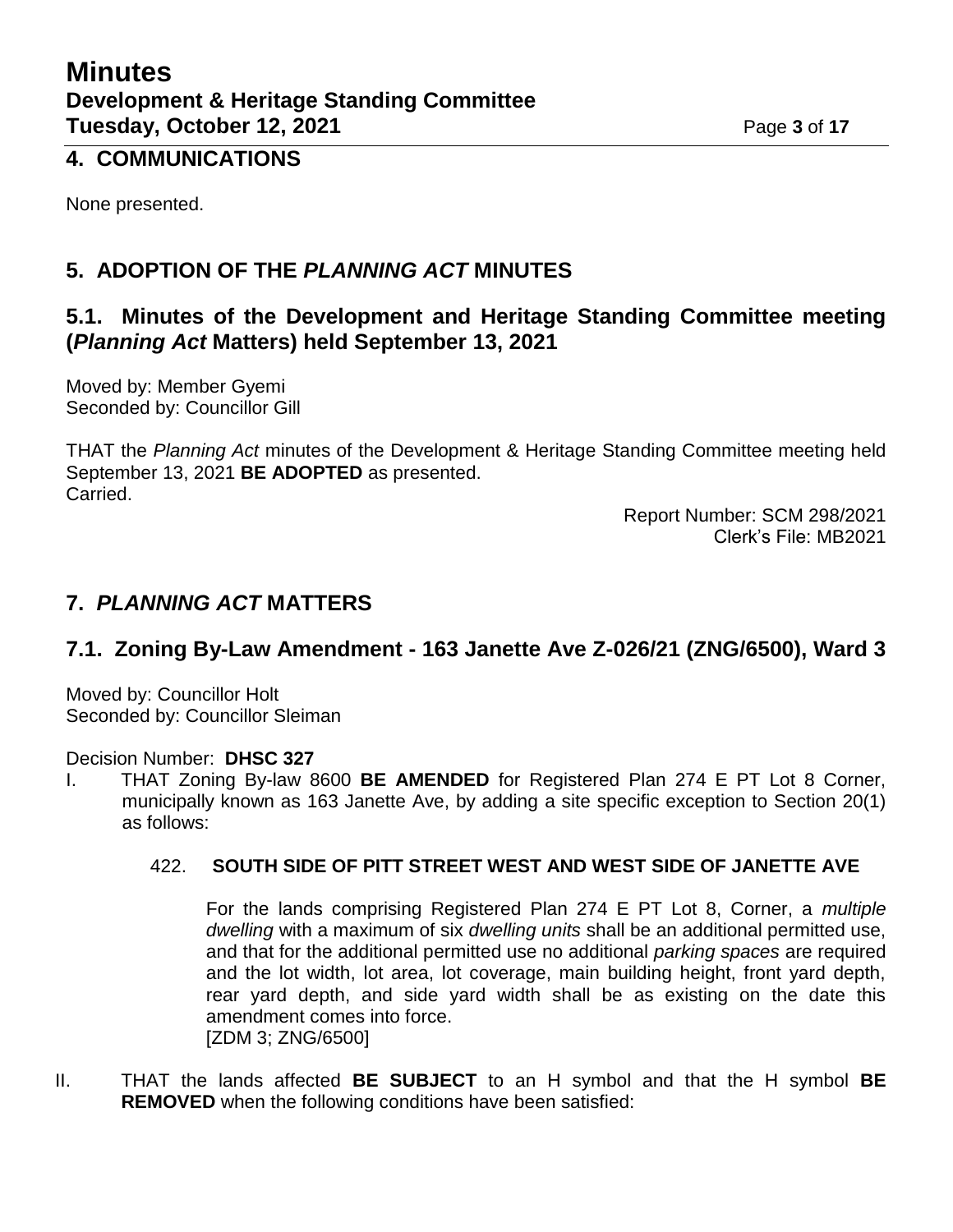### **4. COMMUNICATIONS**

None presented.

## **5. ADOPTION OF THE** *PLANNING ACT* **MINUTES**

### **5.1. Minutes of the Development and Heritage Standing Committee meeting (***Planning Act* **Matters) held September 13, 2021**

Moved by: Member Gyemi Seconded by: Councillor Gill

THAT the *Planning Act* minutes of the Development & Heritage Standing Committee meeting held September 13, 2021 **BE ADOPTED** as presented. Carried.

> Report Number: SCM 298/2021 Clerk's File: MB2021

### **7.** *PLANNING ACT* **MATTERS**

## **7.1. Zoning By-Law Amendment - 163 Janette Ave Z-026/21 (ZNG/6500), Ward 3**

Moved by: Councillor Holt Seconded by: Councillor Sleiman

#### Decision Number: **DHSC 327**

I. THAT Zoning By-law 8600 **BE AMENDED** for Registered Plan 274 E PT Lot 8 Corner, municipally known as 163 Janette Ave, by adding a site specific exception to Section 20(1) as follows:

### 422. **SOUTH SIDE OF PITT STREET WEST AND WEST SIDE OF JANETTE AVE**

For the lands comprising Registered Plan 274 E PT Lot 8, Corner, a *multiple dwelling* with a maximum of six *dwelling units* shall be an additional permitted use, and that for the additional permitted use no additional *parking spaces* are required and the lot width, lot area, lot coverage, main building height, front yard depth, rear yard depth, and side yard width shall be as existing on the date this amendment comes into force. [ZDM 3; ZNG/6500]

II. THAT the lands affected **BE SUBJECT** to an H symbol and that the H symbol **BE REMOVED** when the following conditions have been satisfied: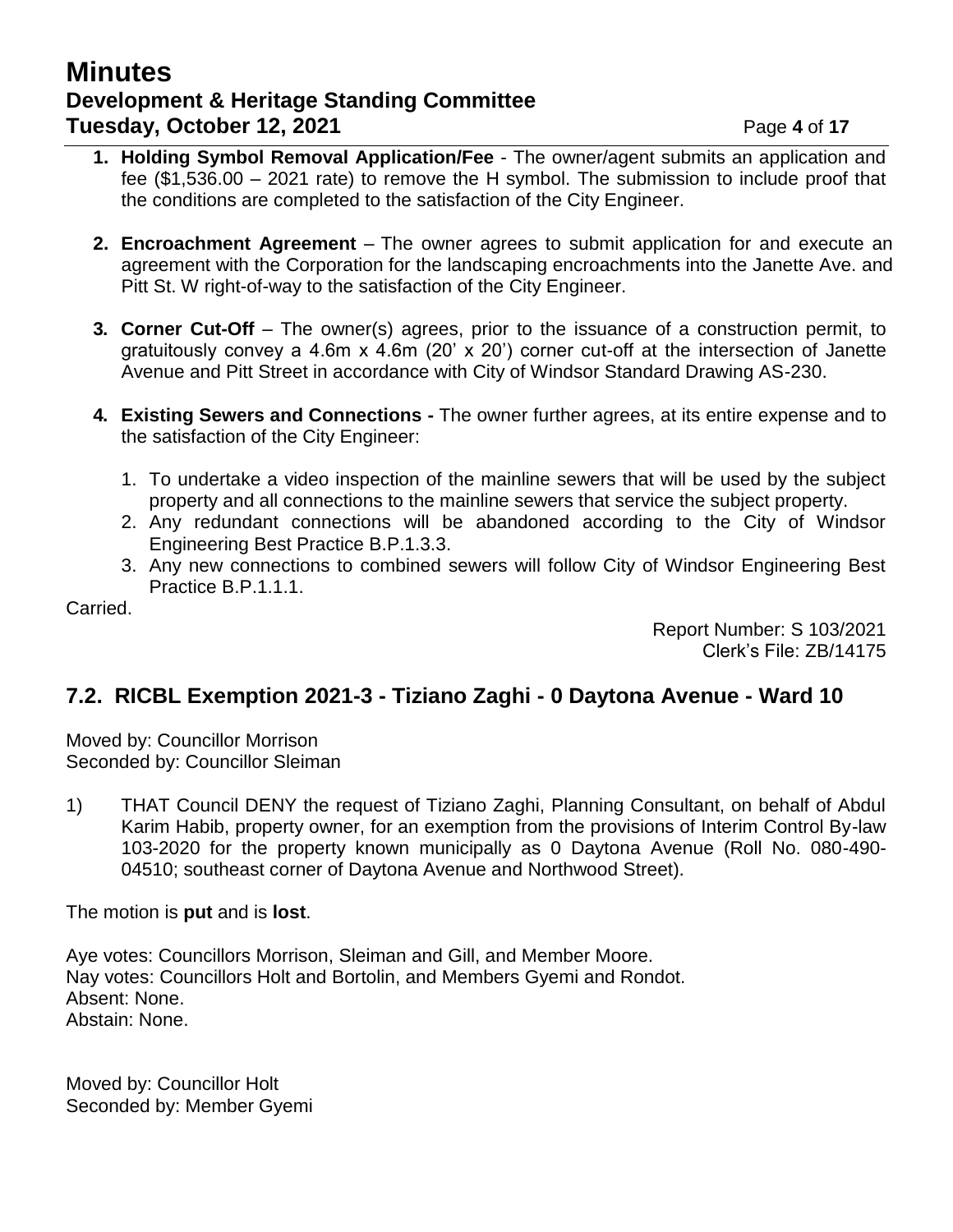## **Minutes Development & Heritage Standing Committee Tuesday, October 12, 2021 Page 4** of 17

- **1. Holding Symbol Removal Application/Fee** The owner/agent submits an application and fee (\$1,536.00 – 2021 rate) to remove the H symbol. The submission to include proof that the conditions are completed to the satisfaction of the City Engineer.
- **2. Encroachment Agreement** The owner agrees to submit application for and execute an agreement with the Corporation for the landscaping encroachments into the Janette Ave. and Pitt St. W right-of-way to the satisfaction of the City Engineer.
- **3. Corner Cut-Off** The owner(s) agrees, prior to the issuance of a construction permit, to gratuitously convey a 4.6m x 4.6m (20' x 20') corner cut-off at the intersection of Janette Avenue and Pitt Street in accordance with City of Windsor Standard Drawing AS-230.
- **4. Existing Sewers and Connections -** The owner further agrees, at its entire expense and to the satisfaction of the City Engineer:
	- 1. To undertake a video inspection of the mainline sewers that will be used by the subject property and all connections to the mainline sewers that service the subject property.
	- 2. Any redundant connections will be abandoned according to the City of Windsor Engineering Best Practice B.P.1.3.3.
	- 3. Any new connections to combined sewers will follow City of Windsor Engineering Best Practice B.P.1.1.1.

Carried.

Report Number: S 103/2021 Clerk's File: ZB/14175

# **7.2. RICBL Exemption 2021-3 - Tiziano Zaghi - 0 Daytona Avenue - Ward 10**

Moved by: Councillor Morrison Seconded by: Councillor Sleiman

1) THAT Council DENY the request of Tiziano Zaghi, Planning Consultant, on behalf of Abdul Karim Habib, property owner, for an exemption from the provisions of Interim Control By-law 103-2020 for the property known municipally as 0 Daytona Avenue (Roll No. 080-490- 04510; southeast corner of Daytona Avenue and Northwood Street).

The motion is **put** and is **lost**.

Aye votes: Councillors Morrison, Sleiman and Gill, and Member Moore. Nay votes: Councillors Holt and Bortolin, and Members Gyemi and Rondot. Absent: None. Abstain: None.

Moved by: Councillor Holt Seconded by: Member Gyemi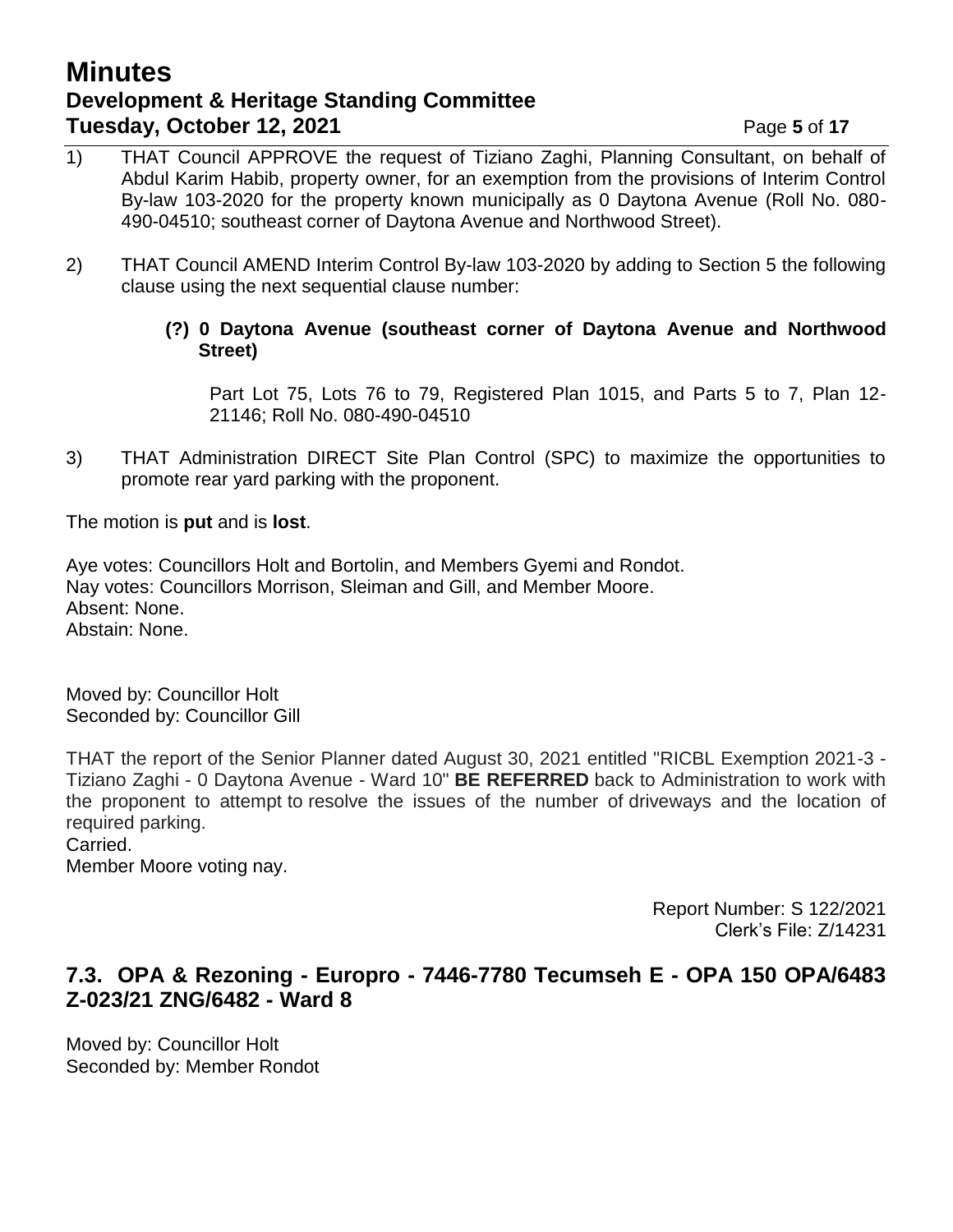## **Minutes Development & Heritage Standing Committee Tuesday, October 12, 2021 Page 5** of 17

- 1) THAT Council APPROVE the request of Tiziano Zaghi, Planning Consultant, on behalf of Abdul Karim Habib, property owner, for an exemption from the provisions of Interim Control By-law 103-2020 for the property known municipally as 0 Daytona Avenue (Roll No. 080- 490-04510; southeast corner of Daytona Avenue and Northwood Street).
- 2) THAT Council AMEND Interim Control By-law 103-2020 by adding to Section 5 the following clause using the next sequential clause number:
	- **(?) 0 Daytona Avenue (southeast corner of Daytona Avenue and Northwood Street)**

Part Lot 75, Lots 76 to 79, Registered Plan 1015, and Parts 5 to 7, Plan 12- 21146; Roll No. 080-490-04510

3) THAT Administration DIRECT Site Plan Control (SPC) to maximize the opportunities to promote rear yard parking with the proponent.

The motion is **put** and is **lost**.

Aye votes: Councillors Holt and Bortolin, and Members Gyemi and Rondot. Nay votes: Councillors Morrison, Sleiman and Gill, and Member Moore. Absent: None. Abstain: None.

Moved by: Councillor Holt Seconded by: Councillor Gill

THAT the report of the Senior Planner dated August 30, 2021 entitled "RICBL Exemption 2021-3 - Tiziano Zaghi - 0 Daytona Avenue - Ward 10" **BE REFERRED** back to Administration to work with the proponent to attempt to resolve the issues of the number of driveways and the location of required parking. Carried.

Member Moore voting nay.

Report Number: S 122/2021 Clerk's File: Z/14231

## **7.3. OPA & Rezoning - Europro - 7446-7780 Tecumseh E - OPA 150 OPA/6483 Z-023/21 ZNG/6482 - Ward 8**

Moved by: Councillor Holt Seconded by: Member Rondot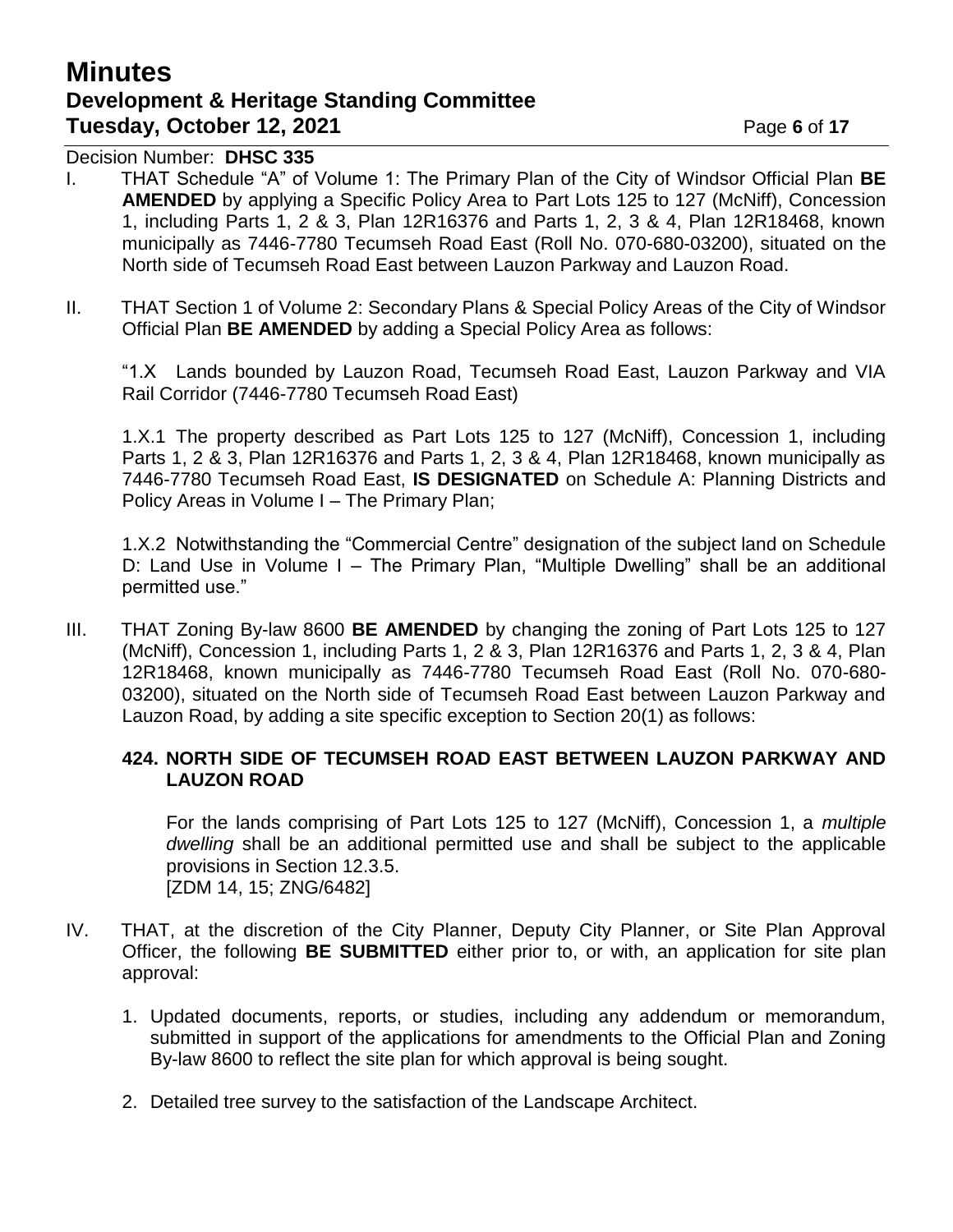# **Minutes Development & Heritage Standing Committee Tuesday, October 12, 2021 Page 6** of 17

Decision Number: **DHSC 335**

- I. THAT Schedule "A" of Volume 1: The Primary Plan of the City of Windsor Official Plan **BE AMENDED** by applying a Specific Policy Area to Part Lots 125 to 127 (McNiff), Concession 1, including Parts 1, 2 & 3, Plan 12R16376 and Parts 1, 2, 3 & 4, Plan 12R18468, known municipally as 7446-7780 Tecumseh Road East (Roll No. 070-680-03200), situated on the North side of Tecumseh Road East between Lauzon Parkway and Lauzon Road.
- II. THAT Section 1 of Volume 2: Secondary Plans & Special Policy Areas of the City of Windsor Official Plan **BE AMENDED** by adding a Special Policy Area as follows:

"1.X Lands bounded by Lauzon Road, Tecumseh Road East, Lauzon Parkway and VIA Rail Corridor (7446-7780 Tecumseh Road East)

1.X.1 The property described as Part Lots 125 to 127 (McNiff), Concession 1, including Parts 1, 2 & 3, Plan 12R16376 and Parts 1, 2, 3 & 4, Plan 12R18468, known municipally as 7446-7780 Tecumseh Road East, **IS DESIGNATED** on Schedule A: Planning Districts and Policy Areas in Volume I – The Primary Plan;

1.X.2 Notwithstanding the "Commercial Centre" designation of the subject land on Schedule D: Land Use in Volume I – The Primary Plan, "Multiple Dwelling" shall be an additional permitted use."

III. THAT Zoning By-law 8600 **BE AMENDED** by changing the zoning of Part Lots 125 to 127 (McNiff), Concession 1, including Parts 1, 2 & 3, Plan 12R16376 and Parts 1, 2, 3 & 4, Plan 12R18468, known municipally as 7446-7780 Tecumseh Road East (Roll No. 070-680- 03200), situated on the North side of Tecumseh Road East between Lauzon Parkway and Lauzon Road, by adding a site specific exception to Section 20(1) as follows:

#### **424. NORTH SIDE OF TECUMSEH ROAD EAST BETWEEN LAUZON PARKWAY AND LAUZON ROAD**

For the lands comprising of Part Lots 125 to 127 (McNiff), Concession 1, a *multiple dwelling* shall be an additional permitted use and shall be subject to the applicable provisions in Section 12.3.5. [ZDM 14, 15; ZNG/6482]

- IV. THAT, at the discretion of the City Planner, Deputy City Planner, or Site Plan Approval Officer, the following **BE SUBMITTED** either prior to, or with, an application for site plan approval:
	- 1. Updated documents, reports, or studies, including any addendum or memorandum, submitted in support of the applications for amendments to the Official Plan and Zoning By-law 8600 to reflect the site plan for which approval is being sought.
	- 2. Detailed tree survey to the satisfaction of the Landscape Architect.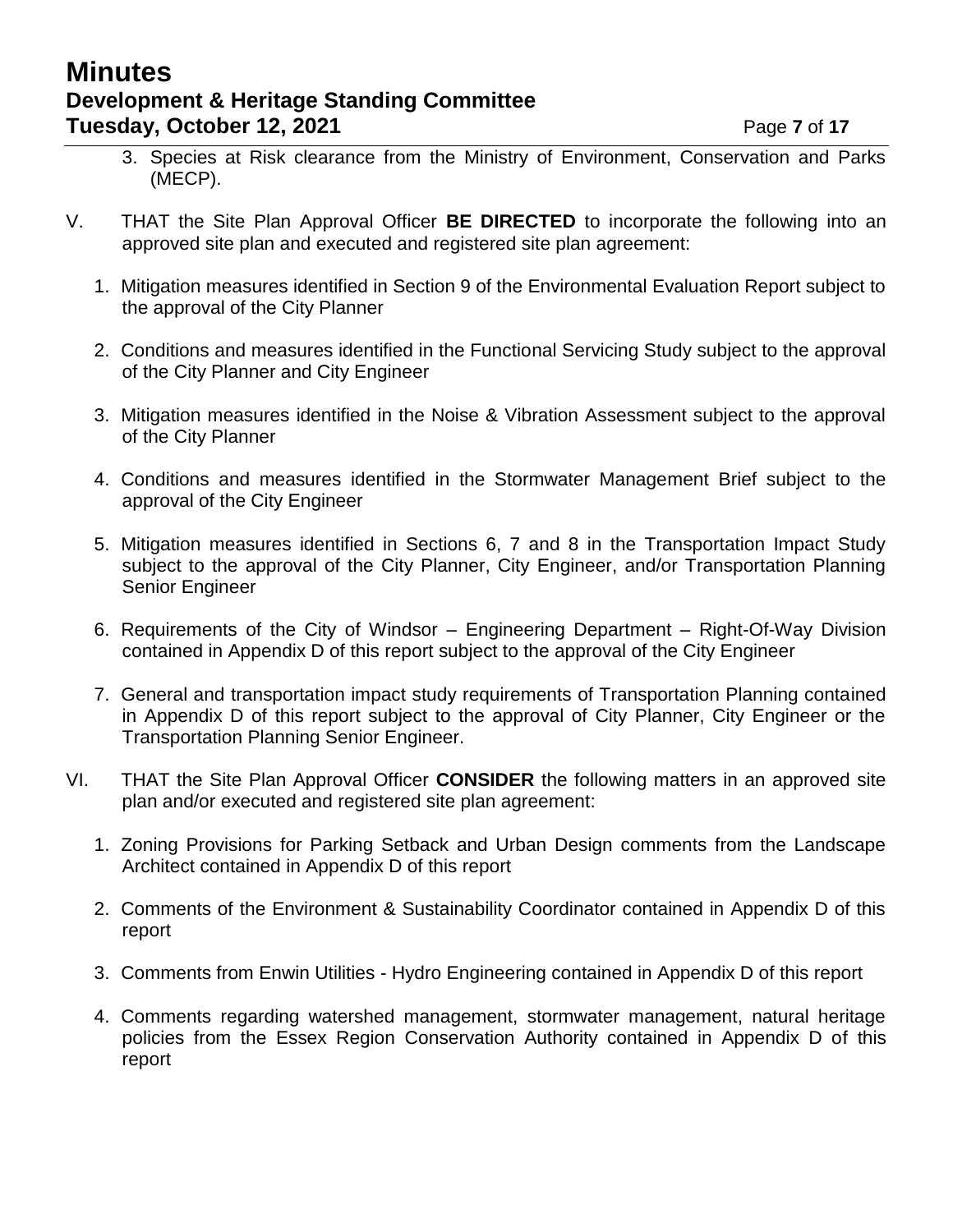## **Minutes Development & Heritage Standing Committee Tuesday, October 12, 2021 Page 7** of 17

- 3. Species at Risk clearance from the Ministry of Environment, Conservation and Parks (MECP).
- V. THAT the Site Plan Approval Officer **BE DIRECTED** to incorporate the following into an approved site plan and executed and registered site plan agreement:
	- 1. Mitigation measures identified in Section 9 of the Environmental Evaluation Report subject to the approval of the City Planner
	- 2. Conditions and measures identified in the Functional Servicing Study subject to the approval of the City Planner and City Engineer
	- 3. Mitigation measures identified in the Noise & Vibration Assessment subject to the approval of the City Planner
	- 4. Conditions and measures identified in the Stormwater Management Brief subject to the approval of the City Engineer
	- 5. Mitigation measures identified in Sections 6, 7 and 8 in the Transportation Impact Study subject to the approval of the City Planner, City Engineer, and/or Transportation Planning Senior Engineer
	- 6. Requirements of the City of Windsor Engineering Department Right-Of-Way Division contained in Appendix D of this report subject to the approval of the City Engineer
	- 7. General and transportation impact study requirements of Transportation Planning contained in Appendix D of this report subject to the approval of City Planner, City Engineer or the Transportation Planning Senior Engineer.
- VI. THAT the Site Plan Approval Officer **CONSIDER** the following matters in an approved site plan and/or executed and registered site plan agreement:
	- 1. Zoning Provisions for Parking Setback and Urban Design comments from the Landscape Architect contained in Appendix D of this report
	- 2. Comments of the Environment & Sustainability Coordinator contained in Appendix D of this report
	- 3. Comments from Enwin Utilities Hydro Engineering contained in Appendix D of this report
	- 4. Comments regarding watershed management, stormwater management, natural heritage policies from the Essex Region Conservation Authority contained in Appendix D of this report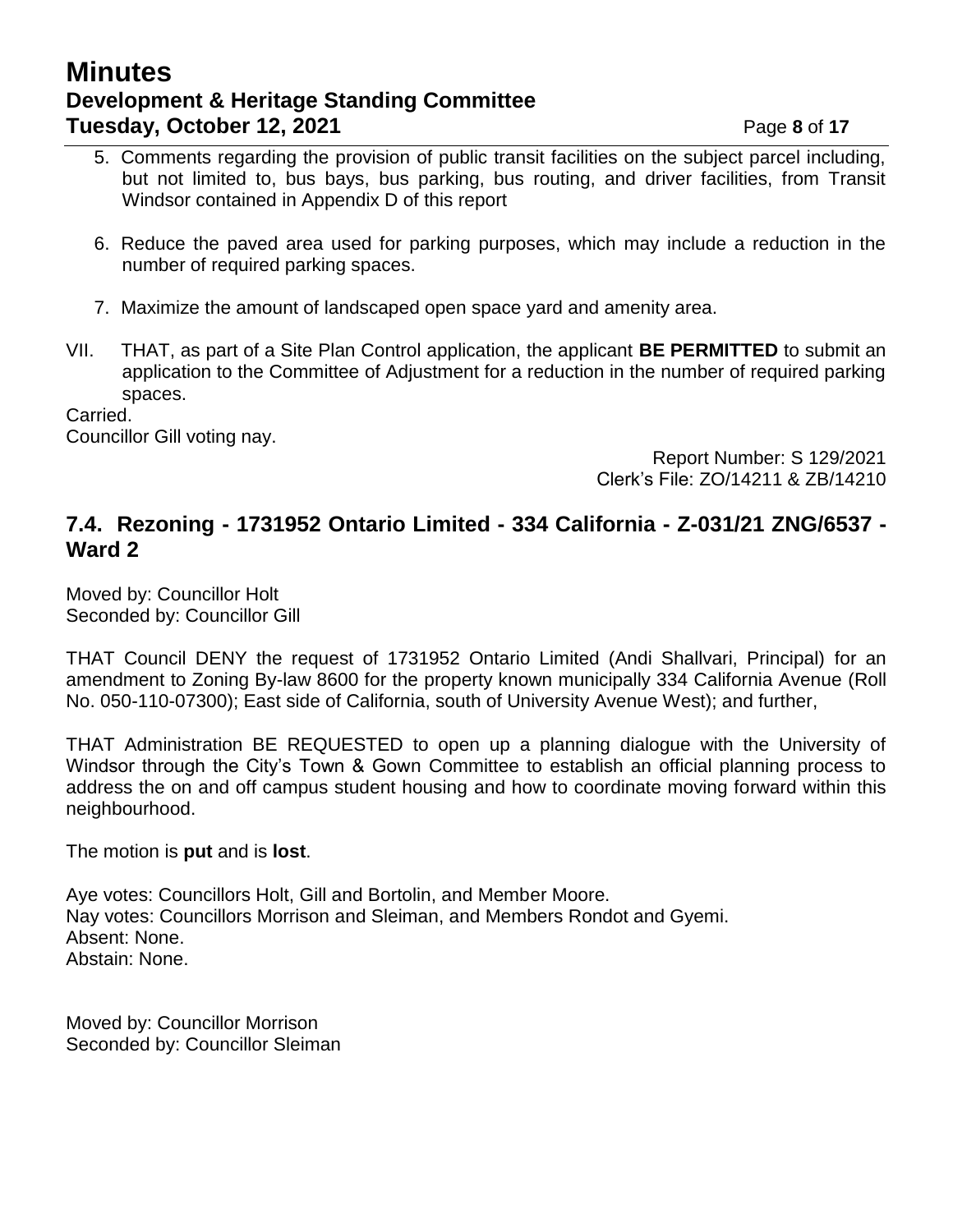## **Minutes Development & Heritage Standing Committee Tuesday, October 12, 2021 Page 8** of 17

- 5. Comments regarding the provision of public transit facilities on the subject parcel including, but not limited to, bus bays, bus parking, bus routing, and driver facilities, from Transit Windsor contained in Appendix D of this report
- 6. Reduce the paved area used for parking purposes, which may include a reduction in the number of required parking spaces.
- 7. Maximize the amount of landscaped open space yard and amenity area.
- VII. THAT, as part of a Site Plan Control application, the applicant **BE PERMITTED** to submit an application to the Committee of Adjustment for a reduction in the number of required parking spaces.

Carried.

Councillor Gill voting nay.

Report Number: S 129/2021 Clerk's File: ZO/14211 & ZB/14210

### **7.4. Rezoning - 1731952 Ontario Limited - 334 California - Z-031/21 ZNG/6537 - Ward 2**

Moved by: Councillor Holt Seconded by: Councillor Gill

THAT Council DENY the request of 1731952 Ontario Limited (Andi Shallvari, Principal) for an amendment to Zoning By-law 8600 for the property known municipally 334 California Avenue (Roll No. 050-110-07300); East side of California, south of University Avenue West); and further,

THAT Administration BE REQUESTED to open up a planning dialogue with the University of Windsor through the City's Town & Gown Committee to establish an official planning process to address the on and off campus student housing and how to coordinate moving forward within this neighbourhood.

The motion is **put** and is **lost**.

Aye votes: Councillors Holt, Gill and Bortolin, and Member Moore. Nay votes: Councillors Morrison and Sleiman, and Members Rondot and Gyemi. Absent: None. Abstain: None.

Moved by: Councillor Morrison Seconded by: Councillor Sleiman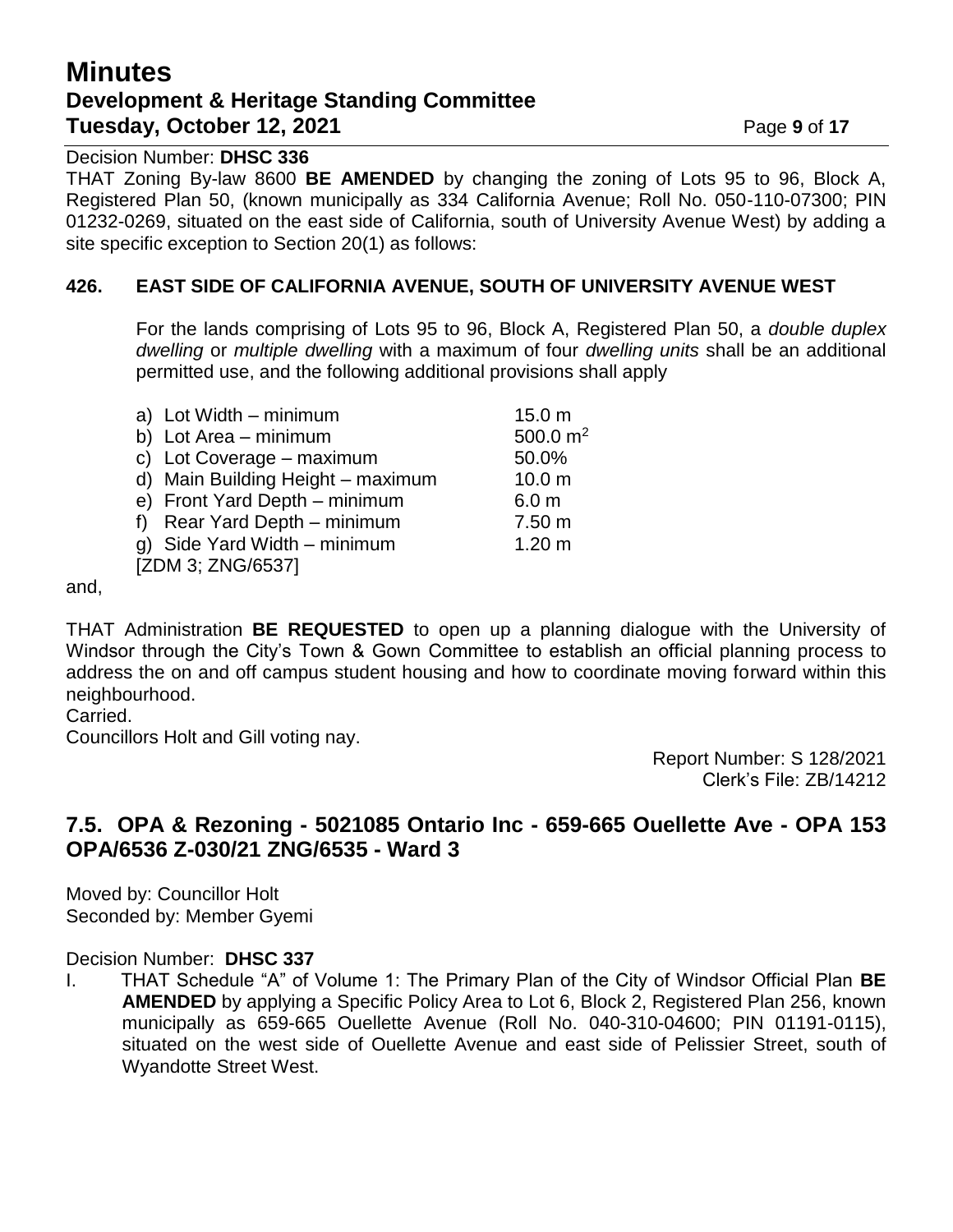# **Minutes Development & Heritage Standing Committee Tuesday, October 12, 2021 Page 9** of 17

Decision Number: **DHSC 336**

THAT Zoning By-law 8600 **BE AMENDED** by changing the zoning of Lots 95 to 96, Block A, Registered Plan 50, (known municipally as 334 California Avenue; Roll No. 050-110-07300; PIN 01232-0269, situated on the east side of California, south of University Avenue West) by adding a site specific exception to Section 20(1) as follows:

### **426. EAST SIDE OF CALIFORNIA AVENUE, SOUTH OF UNIVERSITY AVENUE WEST**

For the lands comprising of Lots 95 to 96, Block A, Registered Plan 50, a *double duplex dwelling* or *multiple dwelling* with a maximum of four *dwelling units* shall be an additional permitted use, and the following additional provisions shall apply

|                   | a) Lot Width - minimum            | 15.0 <sub>m</sub> |  |  |
|-------------------|-----------------------------------|-------------------|--|--|
|                   | b) Lot Area - minimum             | 500.0 $m2$        |  |  |
|                   | c) Lot Coverage - maximum         | 50.0%             |  |  |
|                   | d) Main Building Height - maximum | 10.0 <sub>m</sub> |  |  |
|                   | e) Front Yard Depth - minimum     | 6.0 <sub>m</sub>  |  |  |
|                   | f) Rear Yard Depth - minimum      | 7.50 m            |  |  |
|                   | g) Side Yard Width - minimum      | 1.20 <sub>m</sub> |  |  |
| [ZDM 3; ZNG/6537] |                                   |                   |  |  |
|                   |                                   |                   |  |  |

and,

THAT Administration **BE REQUESTED** to open up a planning dialogue with the University of Windsor through the City's Town & Gown Committee to establish an official planning process to address the on and off campus student housing and how to coordinate moving forward within this neighbourhood.

Carried.

Councillors Holt and Gill voting nay.

Report Number: S 128/2021 Clerk's File: ZB/14212

### **7.5. OPA & Rezoning - 5021085 Ontario Inc - 659-665 Ouellette Ave - OPA 153 OPA/6536 Z-030/21 ZNG/6535 - Ward 3**

Moved by: Councillor Holt Seconded by: Member Gyemi

#### Decision Number: **DHSC 337**

I. THAT Schedule "A" of Volume 1: The Primary Plan of the City of Windsor Official Plan **BE AMENDED** by applying a Specific Policy Area to Lot 6, Block 2, Registered Plan 256, known municipally as 659-665 Ouellette Avenue (Roll No. 040-310-04600; PIN 01191-0115), situated on the west side of Ouellette Avenue and east side of Pelissier Street, south of Wyandotte Street West.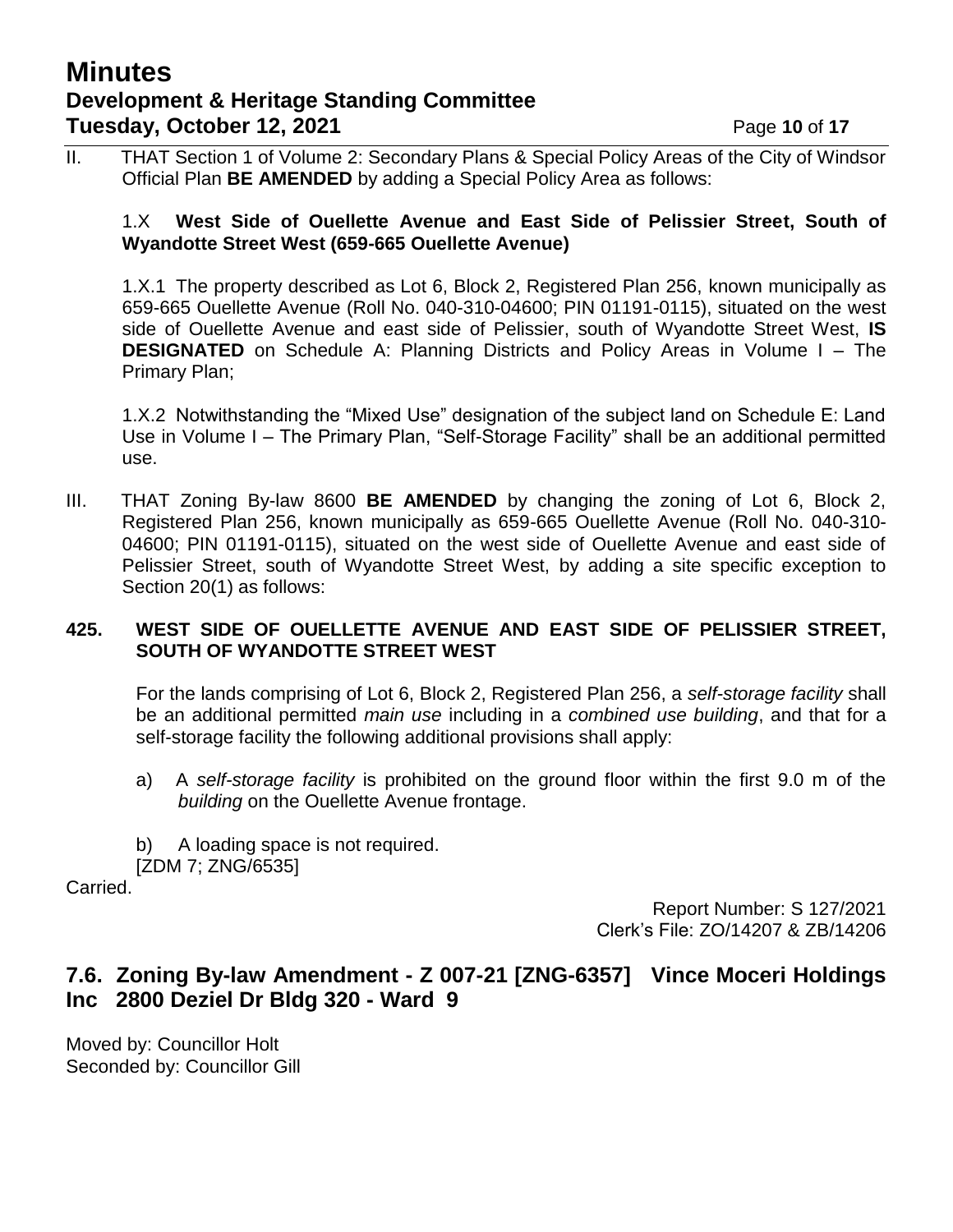## **Minutes Development & Heritage Standing Committee Tuesday, October 12, 2021 Page 10** of 17

II. THAT Section 1 of Volume 2: Secondary Plans & Special Policy Areas of the City of Windsor Official Plan **BE AMENDED** by adding a Special Policy Area as follows:

#### 1.X **West Side of Ouellette Avenue and East Side of Pelissier Street, South of Wyandotte Street West (659-665 Ouellette Avenue)**

1.X.1 The property described as Lot 6, Block 2, Registered Plan 256, known municipally as 659-665 Ouellette Avenue (Roll No. 040-310-04600; PIN 01191-0115), situated on the west side of Ouellette Avenue and east side of Pelissier, south of Wyandotte Street West, **IS DESIGNATED** on Schedule A: Planning Districts and Policy Areas in Volume I – The Primary Plan;

1.X.2 Notwithstanding the "Mixed Use" designation of the subject land on Schedule E: Land Use in Volume I – The Primary Plan, "Self-Storage Facility" shall be an additional permitted use.

III. THAT Zoning By-law 8600 **BE AMENDED** by changing the zoning of Lot 6, Block 2, Registered Plan 256, known municipally as 659-665 Ouellette Avenue (Roll No. 040-310- 04600; PIN 01191-0115), situated on the west side of Ouellette Avenue and east side of Pelissier Street, south of Wyandotte Street West, by adding a site specific exception to Section 20(1) as follows:

### **425. WEST SIDE OF OUELLETTE AVENUE AND EAST SIDE OF PELISSIER STREET, SOUTH OF WYANDOTTE STREET WEST**

For the lands comprising of Lot 6, Block 2, Registered Plan 256, a *self-storage facility* shall be an additional permitted *main use* including in a *combined use building*, and that for a self-storage facility the following additional provisions shall apply:

- a) A *self-storage facility* is prohibited on the ground floor within the first 9.0 m of the *building* on the Ouellette Avenue frontage.
- b) A loading space is not required. [ZDM 7; ZNG/6535]

Carried.

Report Number: S 127/2021 Clerk's File: ZO/14207 & ZB/14206

## **7.6. Zoning By-law Amendment - Z 007-21 [ZNG-6357] Vince Moceri Holdings Inc 2800 Deziel Dr Bldg 320 - Ward 9**

Moved by: Councillor Holt Seconded by: Councillor Gill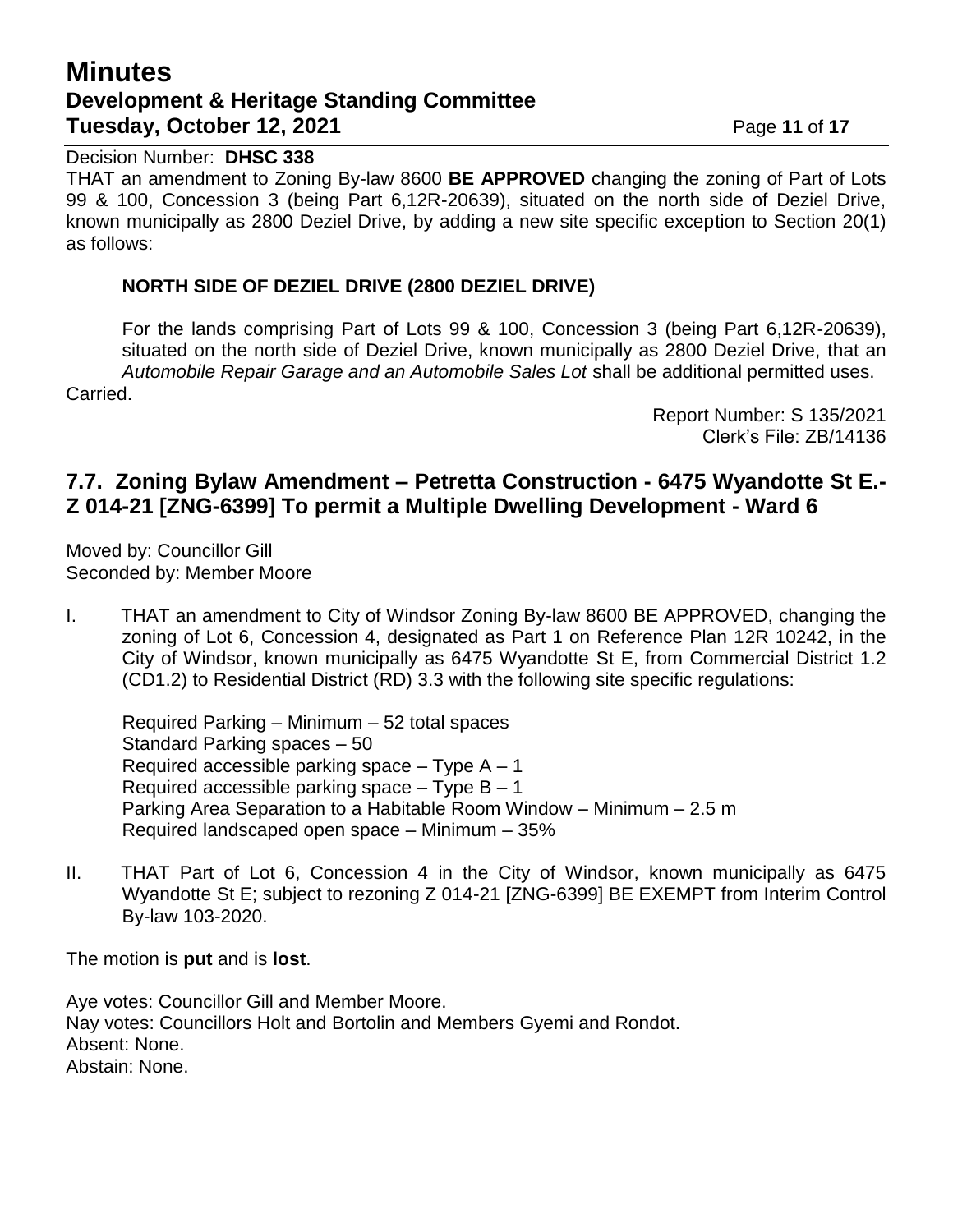# **Minutes Development & Heritage Standing Committee Tuesday, October 12, 2021 Page 11 of 17**

#### Decision Number: **DHSC 338**

THAT an amendment to Zoning By-law 8600 **BE APPROVED** changing the zoning of Part of Lots 99 & 100, Concession 3 (being Part 6,12R-20639), situated on the north side of Deziel Drive, known municipally as 2800 Deziel Drive, by adding a new site specific exception to Section 20(1) as follows:

#### **NORTH SIDE OF DEZIEL DRIVE (2800 DEZIEL DRIVE)**

For the lands comprising Part of Lots 99 & 100, Concession 3 (being Part 6,12R-20639), situated on the north side of Deziel Drive, known municipally as 2800 Deziel Drive, that an *Automobile Repair Garage and an Automobile Sales Lot* shall be additional permitted uses. Carried.

> Report Number: S 135/2021 Clerk's File: ZB/14136

## **7.7. Zoning Bylaw Amendment – Petretta Construction - 6475 Wyandotte St E.- Z 014-21 [ZNG-6399] To permit a Multiple Dwelling Development - Ward 6**

Moved by: Councillor Gill Seconded by: Member Moore

I. THAT an amendment to City of Windsor Zoning By-law 8600 BE APPROVED, changing the zoning of Lot 6, Concession 4, designated as Part 1 on Reference Plan 12R 10242, in the City of Windsor, known municipally as 6475 Wyandotte St E, from Commercial District 1.2 (CD1.2) to Residential District (RD) 3.3 with the following site specific regulations:

Required Parking – Minimum – 52 total spaces Standard Parking spaces – 50 Required accessible parking space  $-$  Type A  $-1$ Required accessible parking space  $-$  Type B  $-1$ Parking Area Separation to a Habitable Room Window – Minimum – 2.5 m Required landscaped open space – Minimum – 35%

II. THAT Part of Lot 6, Concession 4 in the City of Windsor, known municipally as 6475 Wyandotte St E; subject to rezoning Z 014-21 [ZNG-6399] BE EXEMPT from Interim Control By-law 103-2020.

The motion is **put** and is **lost**.

Aye votes: Councillor Gill and Member Moore. Nay votes: Councillors Holt and Bortolin and Members Gyemi and Rondot. Absent: None. Abstain: None.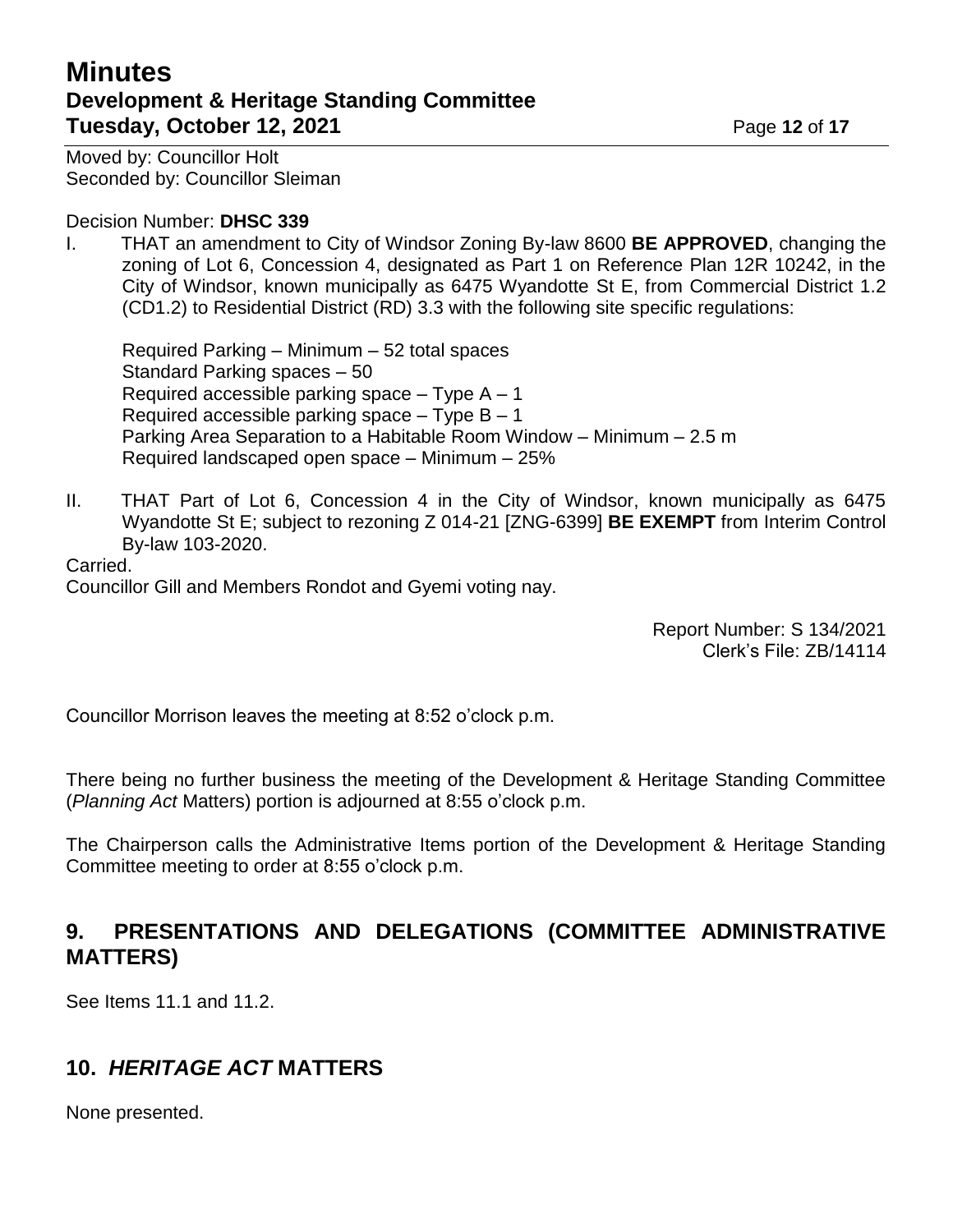# **Minutes Development & Heritage Standing Committee Tuesday, October 12, 2021 Page 12 of 17**

Moved by: Councillor Holt Seconded by: Councillor Sleiman

#### Decision Number: **DHSC 339**

I. THAT an amendment to City of Windsor Zoning By-law 8600 **BE APPROVED**, changing the zoning of Lot 6, Concession 4, designated as Part 1 on Reference Plan 12R 10242, in the City of Windsor, known municipally as 6475 Wyandotte St E, from Commercial District 1.2 (CD1.2) to Residential District (RD) 3.3 with the following site specific regulations:

Required Parking – Minimum – 52 total spaces Standard Parking spaces – 50 Required accessible parking space  $-$  Type A  $-1$ Required accessible parking space  $-$  Type B  $-$  1 Parking Area Separation to a Habitable Room Window – Minimum – 2.5 m Required landscaped open space – Minimum – 25%

II. THAT Part of Lot 6, Concession 4 in the City of Windsor, known municipally as 6475 Wyandotte St E; subject to rezoning Z 014-21 [ZNG-6399] **BE EXEMPT** from Interim Control By-law 103-2020.

Carried.

Councillor Gill and Members Rondot and Gyemi voting nay.

Report Number: S 134/2021 Clerk's File: ZB/14114

Councillor Morrison leaves the meeting at 8:52 o'clock p.m.

There being no further business the meeting of the Development & Heritage Standing Committee (*Planning Act* Matters) portion is adjourned at 8:55 o'clock p.m.

The Chairperson calls the Administrative Items portion of the Development & Heritage Standing Committee meeting to order at 8:55 o'clock p.m.

## **9. PRESENTATIONS AND DELEGATIONS (COMMITTEE ADMINISTRATIVE MATTERS)**

See Items 11.1 and 11.2.

## **10.** *HERITAGE ACT* **MATTERS**

None presented.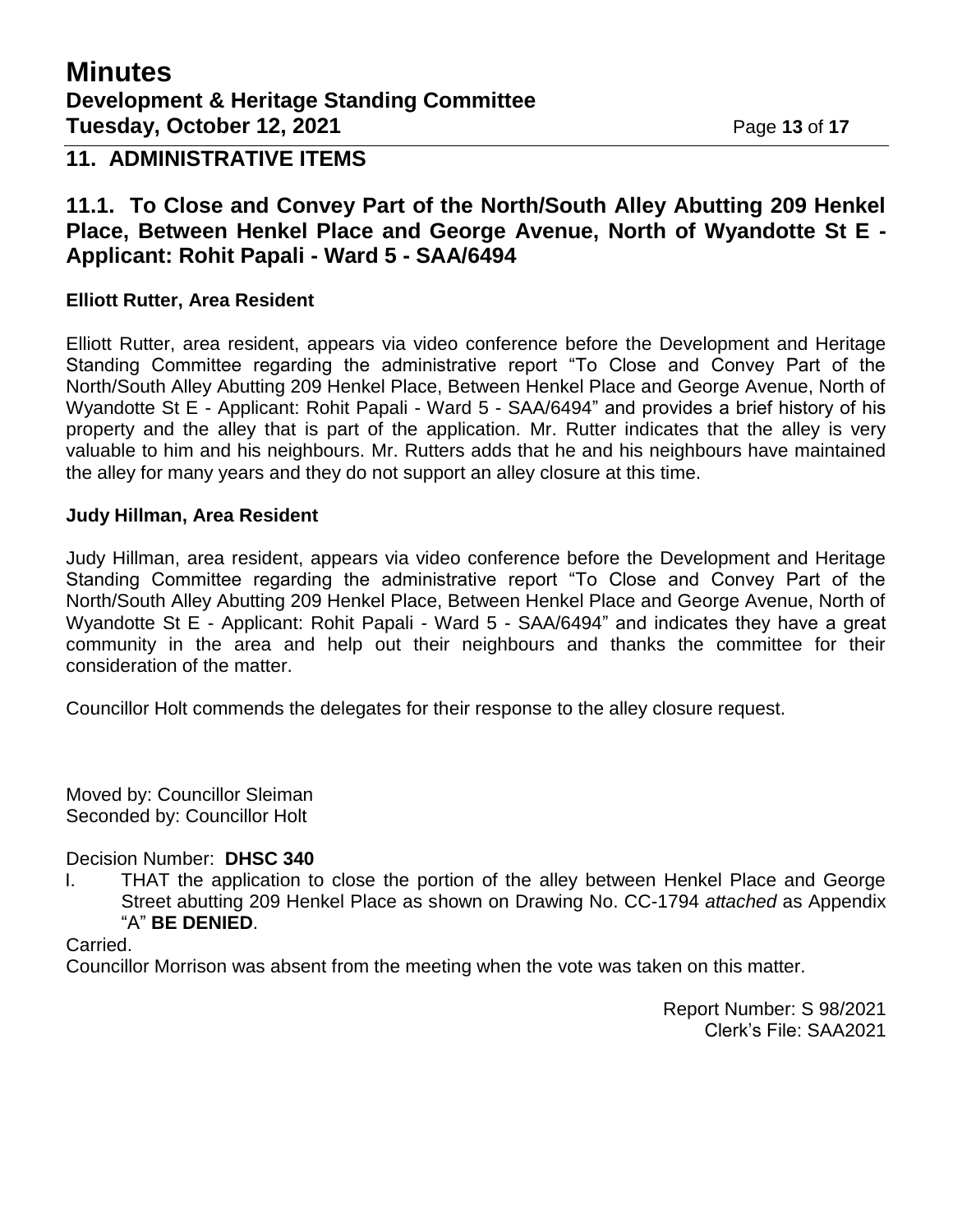# **Minutes Development & Heritage Standing Committee Tuesday, October 12, 2021 Page 13 of 17**

### **11. ADMINISTRATIVE ITEMS**

### **11.1. To Close and Convey Part of the North/South Alley Abutting 209 Henkel Place, Between Henkel Place and George Avenue, North of Wyandotte St E - Applicant: Rohit Papali - Ward 5 - SAA/6494**

#### **Elliott Rutter, Area Resident**

Elliott Rutter, area resident, appears via video conference before the Development and Heritage Standing Committee regarding the administrative report "To Close and Convey Part of the North/South Alley Abutting 209 Henkel Place, Between Henkel Place and George Avenue, North of Wyandotte St E - Applicant: Rohit Papali - Ward 5 - SAA/6494" and provides a brief history of his property and the alley that is part of the application. Mr. Rutter indicates that the alley is very valuable to him and his neighbours. Mr. Rutters adds that he and his neighbours have maintained the alley for many years and they do not support an alley closure at this time.

#### **Judy Hillman, Area Resident**

Judy Hillman, area resident, appears via video conference before the Development and Heritage Standing Committee regarding the administrative report "To Close and Convey Part of the North/South Alley Abutting 209 Henkel Place, Between Henkel Place and George Avenue, North of Wyandotte St E - Applicant: Rohit Papali - Ward 5 - SAA/6494" and indicates they have a great community in the area and help out their neighbours and thanks the committee for their consideration of the matter.

Councillor Holt commends the delegates for their response to the alley closure request.

Moved by: Councillor Sleiman Seconded by: Councillor Holt

Decision Number: **DHSC 340**

I. THAT the application to close the portion of the alley between Henkel Place and George Street abutting 209 Henkel Place as shown on Drawing No. CC-1794 *attached* as Appendix "A" **BE DENIED**.

Carried.

Councillor Morrison was absent from the meeting when the vote was taken on this matter.

Report Number: S 98/2021 Clerk's File: SAA2021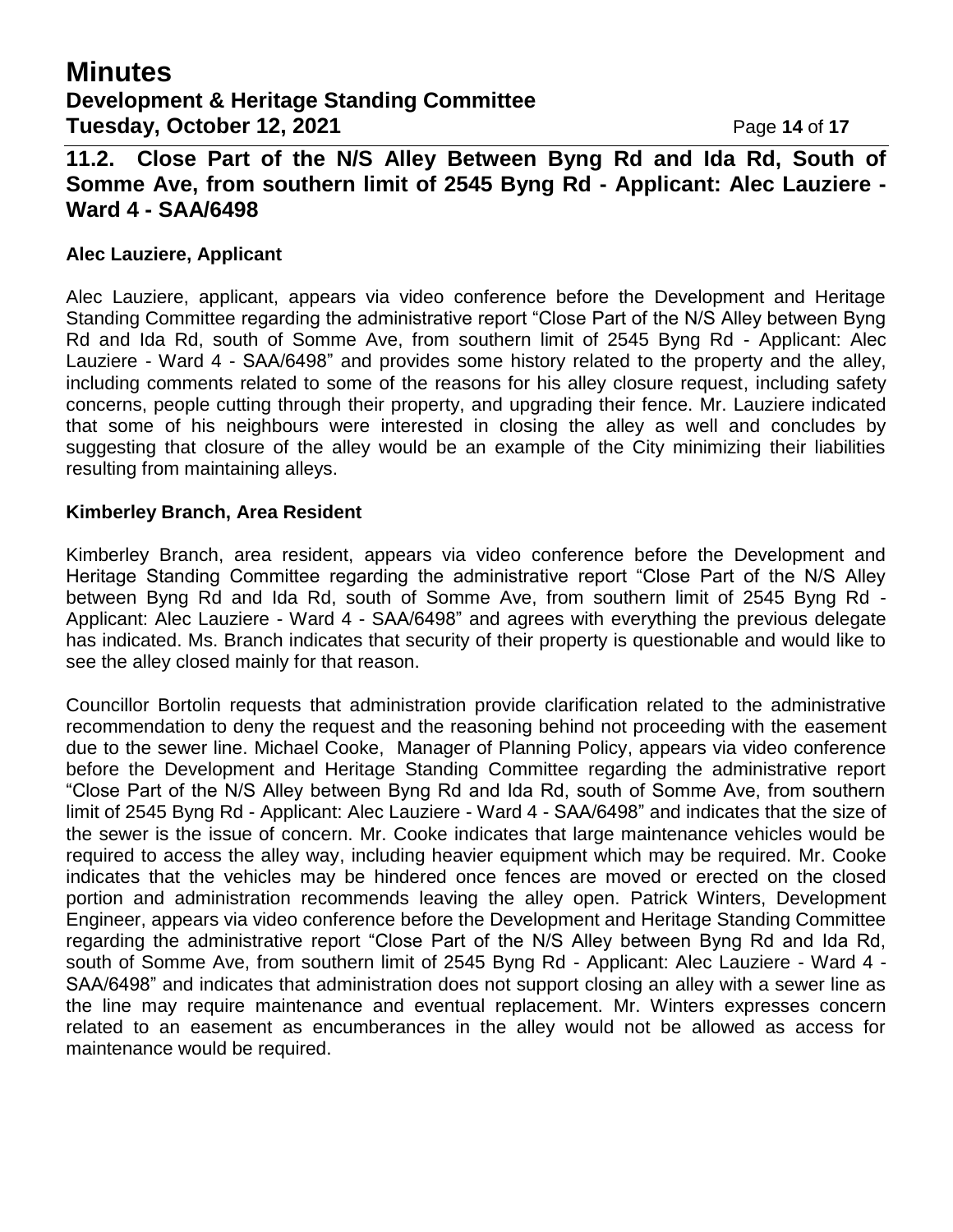## **Minutes Development & Heritage Standing Committee Tuesday, October 12, 2021 Page 14 of 17**

**11.2. Close Part of the N/S Alley Between Byng Rd and Ida Rd, South of Somme Ave, from southern limit of 2545 Byng Rd - Applicant: Alec Lauziere - Ward 4 - SAA/6498**

#### **Alec Lauziere, Applicant**

Alec Lauziere, applicant, appears via video conference before the Development and Heritage Standing Committee regarding the administrative report "Close Part of the N/S Alley between Byng Rd and Ida Rd, south of Somme Ave, from southern limit of 2545 Byng Rd - Applicant: Alec Lauziere - Ward 4 - SAA/6498" and provides some history related to the property and the alley, including comments related to some of the reasons for his alley closure request, including safety concerns, people cutting through their property, and upgrading their fence. Mr. Lauziere indicated that some of his neighbours were interested in closing the alley as well and concludes by suggesting that closure of the alley would be an example of the City minimizing their liabilities resulting from maintaining alleys.

#### **Kimberley Branch, Area Resident**

Kimberley Branch, area resident, appears via video conference before the Development and Heritage Standing Committee regarding the administrative report "Close Part of the N/S Alley between Byng Rd and Ida Rd, south of Somme Ave, from southern limit of 2545 Byng Rd - Applicant: Alec Lauziere - Ward 4 - SAA/6498" and agrees with everything the previous delegate has indicated. Ms. Branch indicates that security of their property is questionable and would like to see the alley closed mainly for that reason.

Councillor Bortolin requests that administration provide clarification related to the administrative recommendation to deny the request and the reasoning behind not proceeding with the easement due to the sewer line. Michael Cooke, Manager of Planning Policy, appears via video conference before the Development and Heritage Standing Committee regarding the administrative report "Close Part of the N/S Alley between Byng Rd and Ida Rd, south of Somme Ave, from southern limit of 2545 Byng Rd - Applicant: Alec Lauziere - Ward 4 - SAA/6498" and indicates that the size of the sewer is the issue of concern. Mr. Cooke indicates that large maintenance vehicles would be required to access the alley way, including heavier equipment which may be required. Mr. Cooke indicates that the vehicles may be hindered once fences are moved or erected on the closed portion and administration recommends leaving the alley open. Patrick Winters, Development Engineer, appears via video conference before the Development and Heritage Standing Committee regarding the administrative report "Close Part of the N/S Alley between Byng Rd and Ida Rd, south of Somme Ave, from southern limit of 2545 Byng Rd - Applicant: Alec Lauziere - Ward 4 - SAA/6498" and indicates that administration does not support closing an alley with a sewer line as the line may require maintenance and eventual replacement. Mr. Winters expresses concern related to an easement as encumberances in the alley would not be allowed as access for maintenance would be required.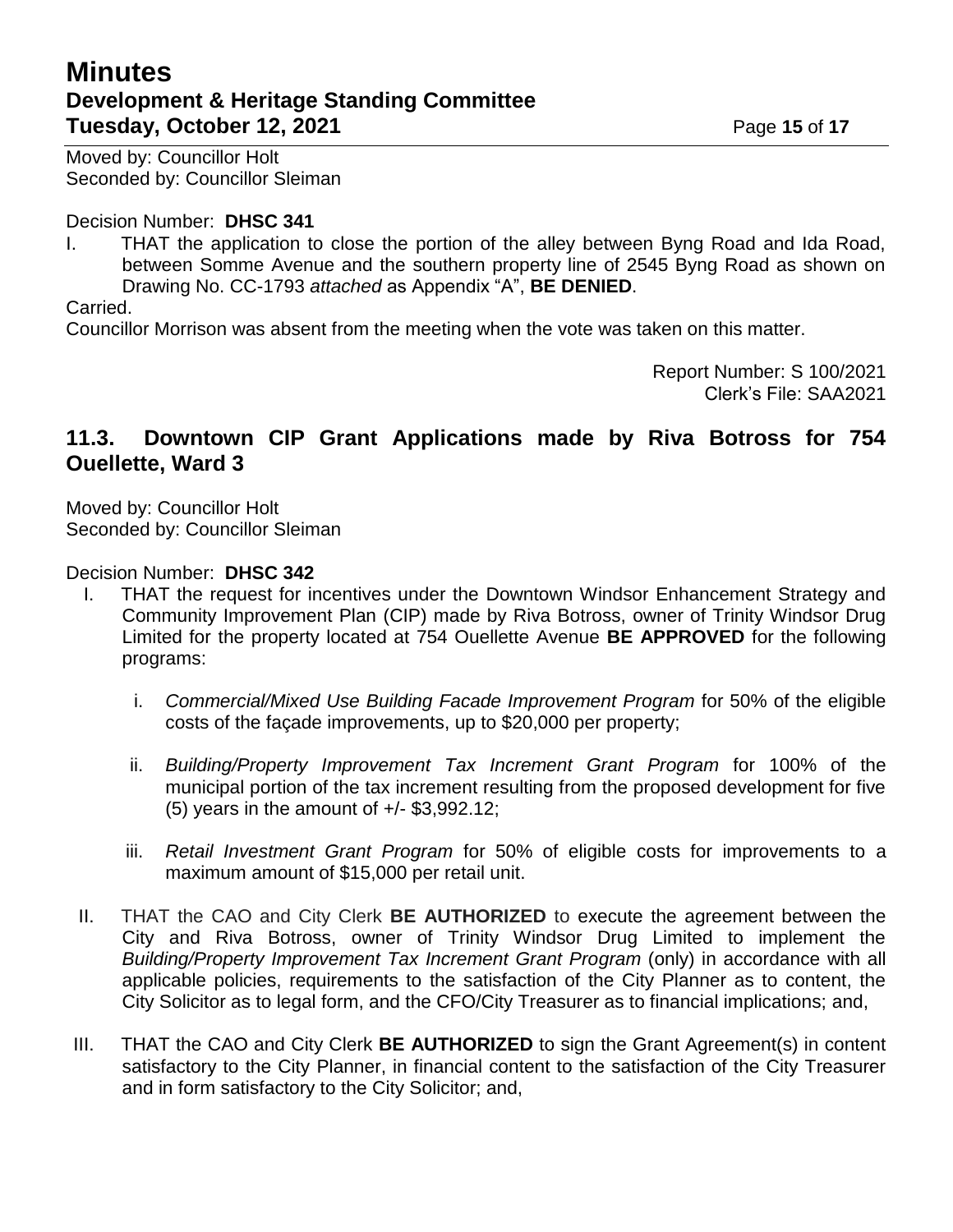# **Minutes Development & Heritage Standing Committee Tuesday, October 12, 2021 Page 15** of 17

Moved by: Councillor Holt Seconded by: Councillor Sleiman

#### Decision Number: **DHSC 341**

I. THAT the application to close the portion of the alley between Byng Road and Ida Road, between Somme Avenue and the southern property line of 2545 Byng Road as shown on Drawing No. CC-1793 *attached* as Appendix "A", **BE DENIED**.

Carried.

Councillor Morrison was absent from the meeting when the vote was taken on this matter.

Report Number: S 100/2021 Clerk's File: SAA2021

### **11.3. Downtown CIP Grant Applications made by Riva Botross for 754 Ouellette, Ward 3**

Moved by: Councillor Holt Seconded by: Councillor Sleiman

#### Decision Number: **DHSC 342**

- I. THAT the request for incentives under the Downtown Windsor Enhancement Strategy and Community Improvement Plan (CIP) made by Riva Botross, owner of Trinity Windsor Drug Limited for the property located at 754 Ouellette Avenue **BE APPROVED** for the following programs:
	- i. *Commercial/Mixed Use Building Facade Improvement Program* for 50% of the eligible costs of the façade improvements, up to \$20,000 per property;
	- ii. *Building/Property Improvement Tax Increment Grant Program* for 100% of the municipal portion of the tax increment resulting from the proposed development for five (5) years in the amount of +/- \$3,992.12;
	- iii. *Retail Investment Grant Program* for 50% of eligible costs for improvements to a maximum amount of \$15,000 per retail unit.
- II. THAT the CAO and City Clerk **BE AUTHORIZED** to execute the agreement between the City and Riva Botross, owner of Trinity Windsor Drug Limited to implement the *Building/Property Improvement Tax Increment Grant Program* (only) in accordance with all applicable policies, requirements to the satisfaction of the City Planner as to content, the City Solicitor as to legal form, and the CFO/City Treasurer as to financial implications; and,
- III. THAT the CAO and City Clerk **BE AUTHORIZED** to sign the Grant Agreement(s) in content satisfactory to the City Planner, in financial content to the satisfaction of the City Treasurer and in form satisfactory to the City Solicitor; and,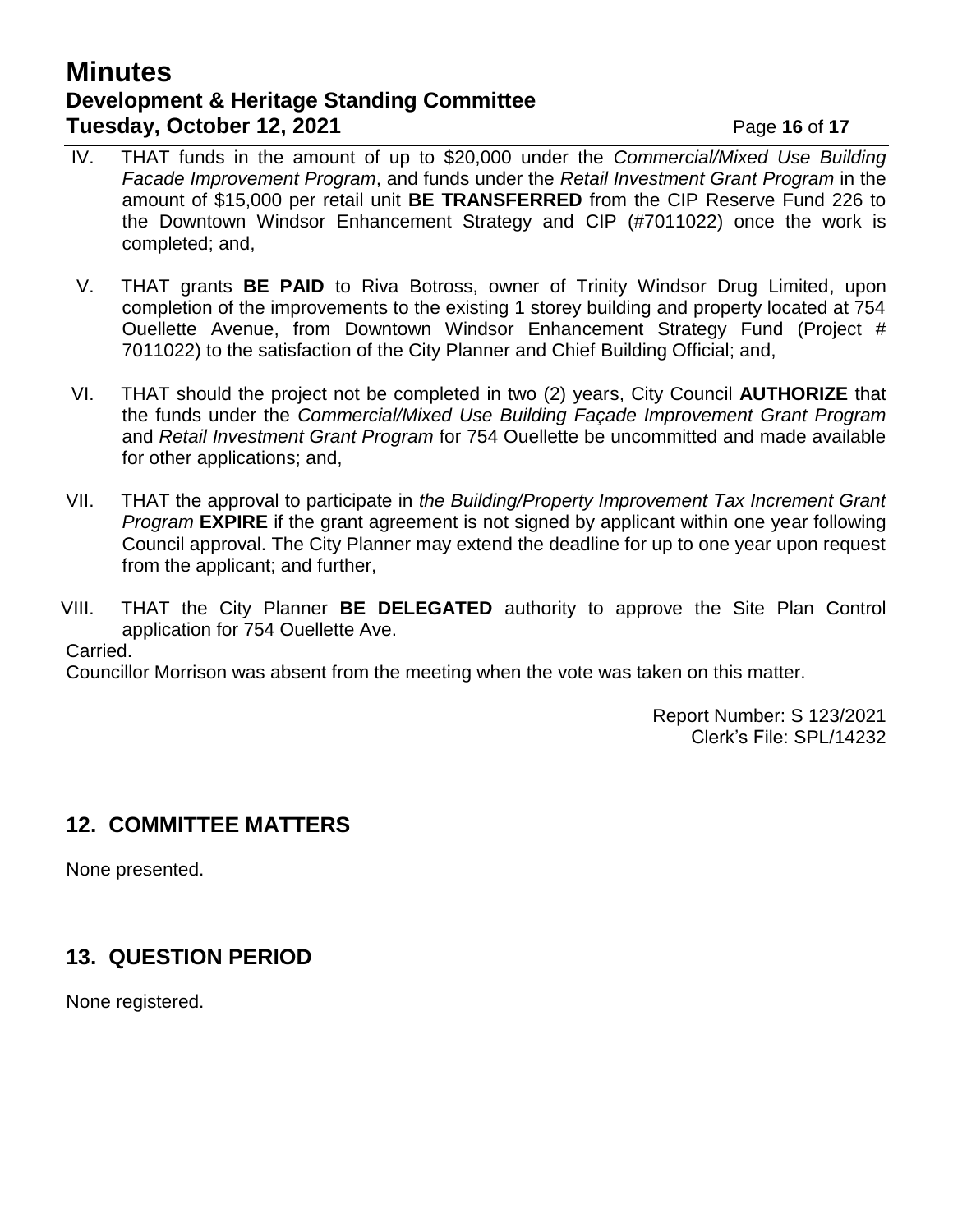## **Minutes Development & Heritage Standing Committee Tuesday, October 12, 2021 Page 16** of 17

- IV. THAT funds in the amount of up to \$20,000 under the *Commercial/Mixed Use Building Facade Improvement Program*, and funds under the *Retail Investment Grant Program* in the amount of \$15,000 per retail unit **BE TRANSFERRED** from the CIP Reserve Fund 226 to the Downtown Windsor Enhancement Strategy and CIP (#7011022) once the work is completed; and,
- V. THAT grants **BE PAID** to Riva Botross, owner of Trinity Windsor Drug Limited, upon completion of the improvements to the existing 1 storey building and property located at 754 Ouellette Avenue, from Downtown Windsor Enhancement Strategy Fund (Project # 7011022) to the satisfaction of the City Planner and Chief Building Official; and,
- VI. THAT should the project not be completed in two (2) years, City Council **AUTHORIZE** that the funds under the *Commercial/Mixed Use Building Façade Improvement Grant Program* and *Retail Investment Grant Program* for 754 Ouellette be uncommitted and made available for other applications; and,
- VII. THAT the approval to participate in *the Building/Property Improvement Tax Increment Grant Program* **EXPIRE** if the grant agreement is not signed by applicant within one year following Council approval. The City Planner may extend the deadline for up to one year upon request from the applicant; and further,
- VIII. THAT the City Planner **BE DELEGATED** authority to approve the Site Plan Control application for 754 Ouellette Ave.

Carried.

Councillor Morrison was absent from the meeting when the vote was taken on this matter.

Report Number: S 123/2021 Clerk's File: SPL/14232

# **12. COMMITTEE MATTERS**

None presented.

# **13. QUESTION PERIOD**

None registered.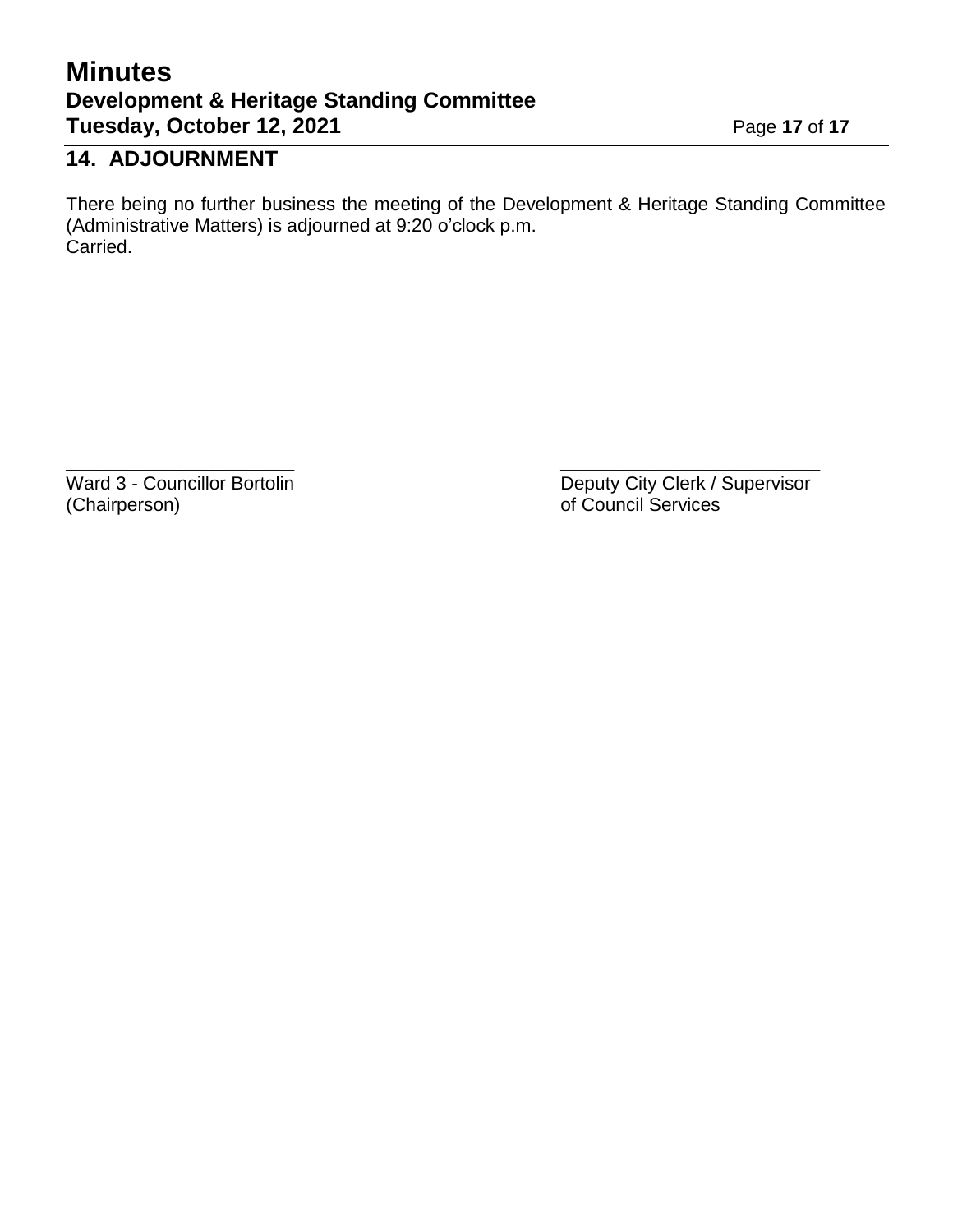# **Minutes Development & Heritage Standing Committee Tuesday, October 12, 2021** Page 17 of 17

# **14. ADJOURNMENT**

There being no further business the meeting of the Development & Heritage Standing Committee (Administrative Matters) is adjourned at 9:20 o'clock p.m. Carried.

 $\overline{\phantom{a}}$  , and the contract of the contract of the contract of the contract of the contract of the contract of the contract of the contract of the contract of the contract of the contract of the contract of the contrac

(Chairperson) of Council Services

Ward 3 - Councillor Bortolin **Deputy City Clerk / Supervisor** Deputy City Clerk / Supervisor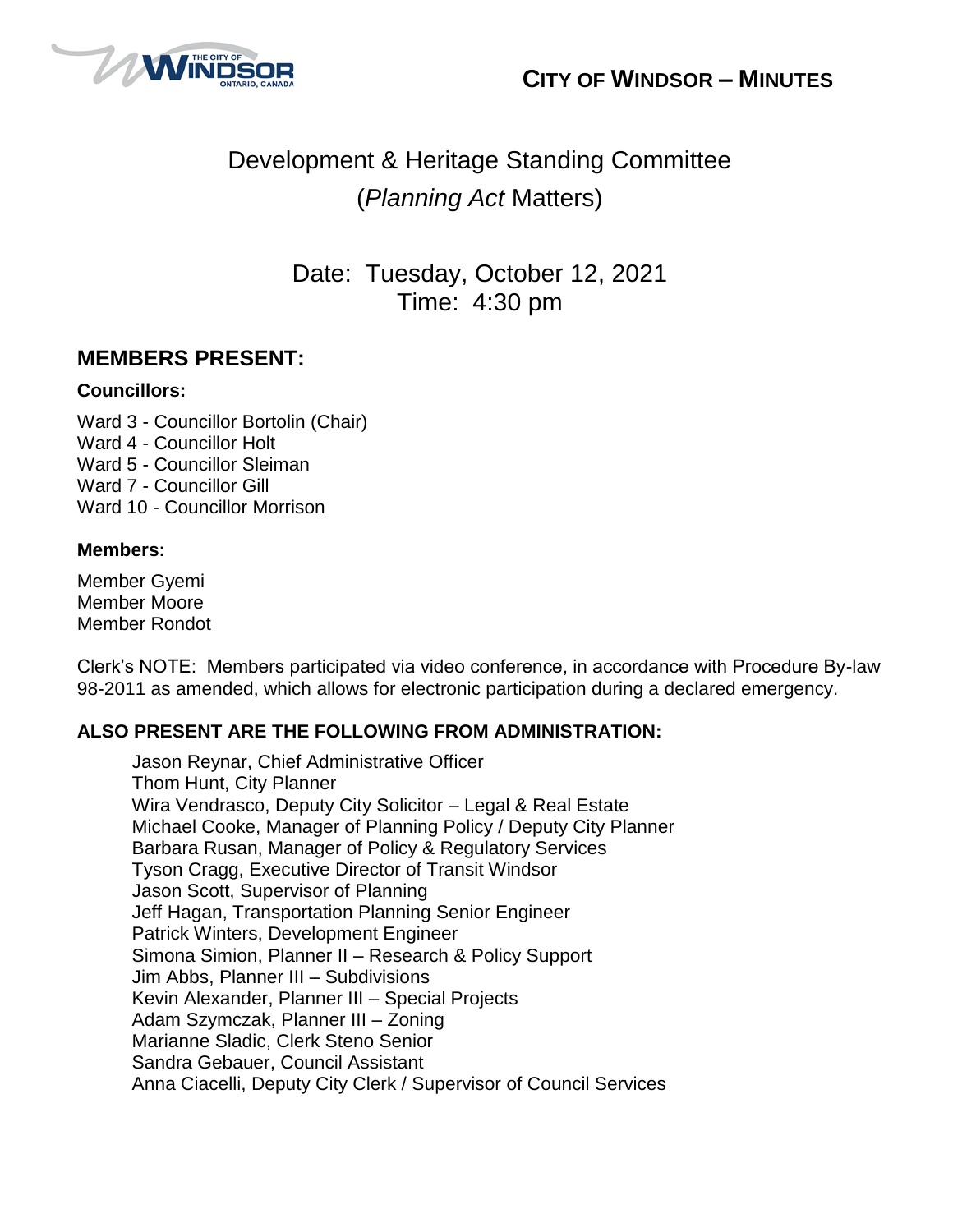



# Development & Heritage Standing Committee (*Planning Act* Matters)

Date: Tuesday, October 12, 2021 Time: 4:30 pm

## **MEMBERS PRESENT:**

#### **Councillors:**

Ward 3 - Councillor Bortolin (Chair) Ward 4 - Councillor Holt Ward 5 - Councillor Sleiman Ward 7 - Councillor Gill Ward 10 - Councillor Morrison

### **Members:**

Member Gyemi Member Moore Member Rondot

Clerk's NOTE: Members participated via video conference, in accordance with Procedure By-law 98-2011 as amended, which allows for electronic participation during a declared emergency.

### **ALSO PRESENT ARE THE FOLLOWING FROM ADMINISTRATION:**

Jason Reynar, Chief Administrative Officer Thom Hunt, City Planner Wira Vendrasco, Deputy City Solicitor – Legal & Real Estate Michael Cooke, Manager of Planning Policy / Deputy City Planner Barbara Rusan, Manager of Policy & Regulatory Services Tyson Cragg, Executive Director of Transit Windsor Jason Scott, Supervisor of Planning Jeff Hagan, Transportation Planning Senior Engineer Patrick Winters, Development Engineer Simona Simion, Planner II – Research & Policy Support Jim Abbs, Planner III – Subdivisions Kevin Alexander, Planner III – Special Projects Adam Szymczak, Planner III – Zoning Marianne Sladic, Clerk Steno Senior Sandra Gebauer, Council Assistant Anna Ciacelli, Deputy City Clerk / Supervisor of Council Services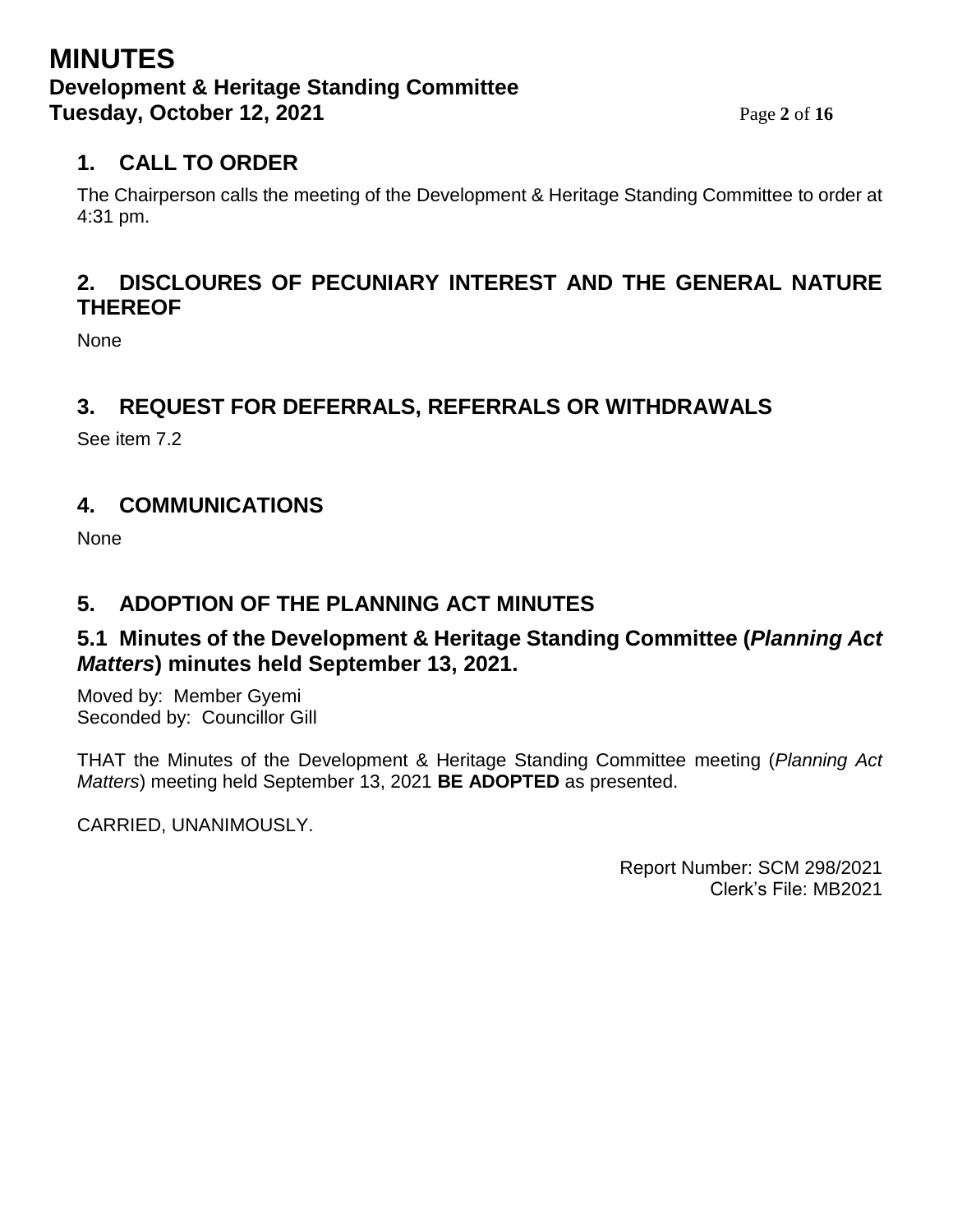## **MINUTES Development & Heritage Standing Committee Tuesday, October 12, 2021** Page 2 of 16

# **1. CALL TO ORDER**

The Chairperson calls the meeting of the Development & Heritage Standing Committee to order at 4:31 pm.

## **2. DISCLOURES OF PECUNIARY INTEREST AND THE GENERAL NATURE THEREOF**

**None** 

## **3. REQUEST FOR DEFERRALS, REFERRALS OR WITHDRAWALS**

See item 7.2

## **4. COMMUNICATIONS**

None

## **5. ADOPTION OF THE PLANNING ACT MINUTES**

### **5.1 Minutes of the Development & Heritage Standing Committee (***Planning Act Matters***) minutes held September 13, 2021.**

Moved by: Member Gyemi Seconded by: Councillor Gill

THAT the Minutes of the Development & Heritage Standing Committee meeting (*Planning Act Matters*) meeting held September 13, 2021 **BE ADOPTED** as presented.

CARRIED, UNANIMOUSLY.

Report Number: SCM 298/2021 Clerk's File: MB2021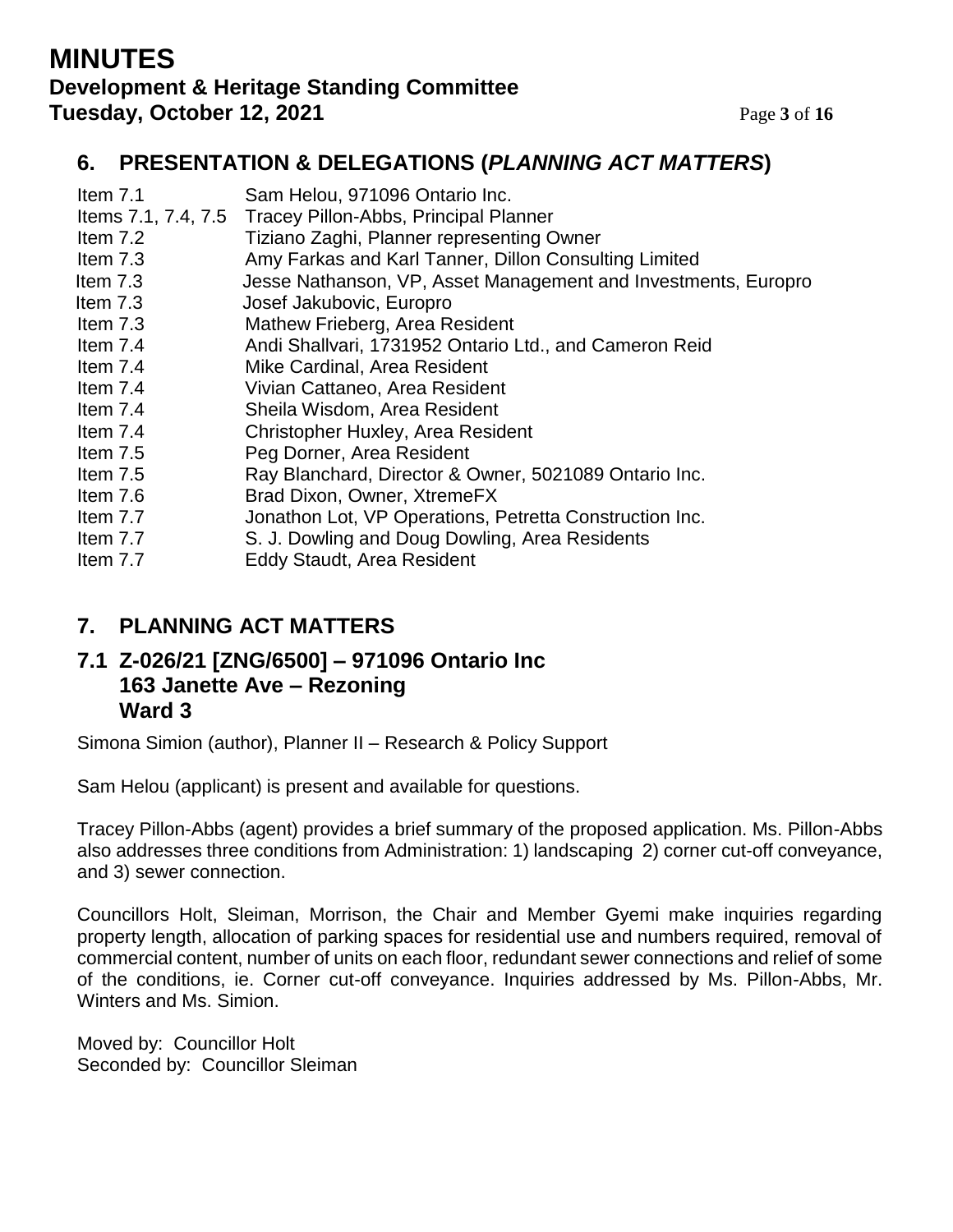## **MINUTES Development & Heritage Standing Committee Tuesday, October 12, 2021** Page 3 of 16

## **6. PRESENTATION & DELEGATIONS (***PLANNING ACT MATTERS***)**

| Item $7.1$ | Sam Helou, 971096 Ontario Inc.                                 |
|------------|----------------------------------------------------------------|
|            | Items 7.1, 7.4, 7.5 Tracey Pillon-Abbs, Principal Planner      |
| Item 7.2   | Tiziano Zaghi, Planner representing Owner                      |
| Item 7.3   | Amy Farkas and Karl Tanner, Dillon Consulting Limited          |
| Item $7.3$ | Jesse Nathanson, VP, Asset Management and Investments, Europro |
| Item $7.3$ | Josef Jakubovic, Europro                                       |
| Item $7.3$ | Mathew Frieberg, Area Resident                                 |
| Item $7.4$ | Andi Shallvari, 1731952 Ontario Ltd., and Cameron Reid         |
| Item $7.4$ | Mike Cardinal, Area Resident                                   |
| Item 7.4   | Vivian Cattaneo, Area Resident                                 |
| Item 7.4   | Sheila Wisdom, Area Resident                                   |
| Item $7.4$ | Christopher Huxley, Area Resident                              |
| Item $7.5$ | Peg Dorner, Area Resident                                      |
| Item 7.5   | Ray Blanchard, Director & Owner, 5021089 Ontario Inc.          |
| Item 7.6   | Brad Dixon, Owner, XtremeFX                                    |
| Item 7.7   | Jonathon Lot, VP Operations, Petretta Construction Inc.        |
| Item 7.7   | S. J. Dowling and Doug Dowling, Area Residents                 |
| Item 7.7   | <b>Eddy Staudt, Area Resident</b>                              |

# **7. PLANNING ACT MATTERS**

### **7.1 Z-026/21 [ZNG/6500] – 971096 Ontario Inc 163 Janette Ave – Rezoning Ward 3**

Simona Simion (author), Planner II – Research & Policy Support

Sam Helou (applicant) is present and available for questions.

Tracey Pillon-Abbs (agent) provides a brief summary of the proposed application. Ms. Pillon-Abbs also addresses three conditions from Administration: 1) landscaping 2) corner cut-off conveyance, and 3) sewer connection.

Councillors Holt, Sleiman, Morrison, the Chair and Member Gyemi make inquiries regarding property length, allocation of parking spaces for residential use and numbers required, removal of commercial content, number of units on each floor, redundant sewer connections and relief of some of the conditions, ie. Corner cut-off conveyance. Inquiries addressed by Ms. Pillon-Abbs, Mr. Winters and Ms. Simion.

Moved by: Councillor Holt Seconded by: Councillor Sleiman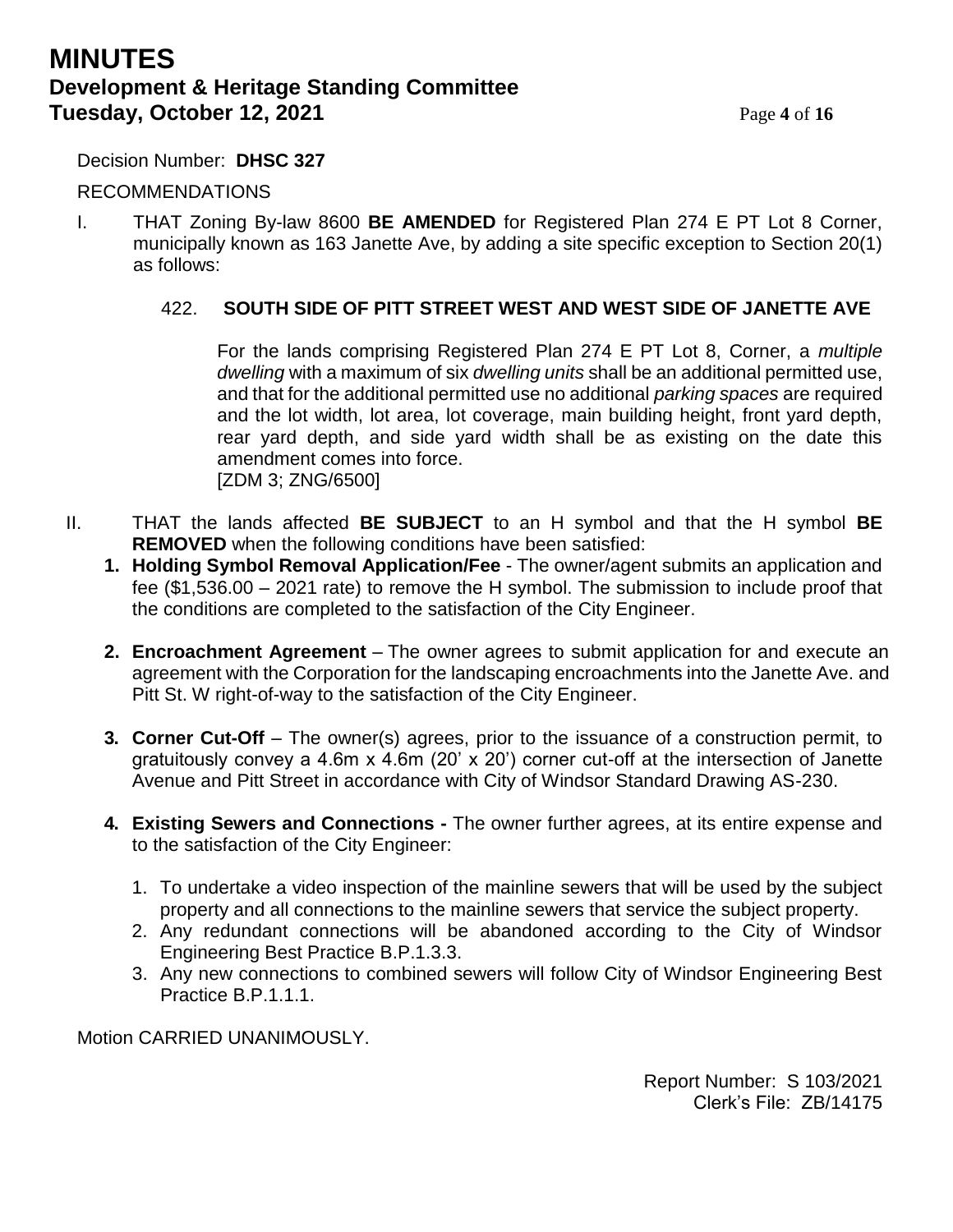## **MINUTES Development & Heritage Standing Committee Tuesday, October 12, 2021** Page 4 of 16

Decision Number: **DHSC 327**

### RECOMMENDATIONS

I. THAT Zoning By-law 8600 **BE AMENDED** for Registered Plan 274 E PT Lot 8 Corner, municipally known as 163 Janette Ave, by adding a site specific exception to Section 20(1) as follows:

### 422. **SOUTH SIDE OF PITT STREET WEST AND WEST SIDE OF JANETTE AVE**

For the lands comprising Registered Plan 274 E PT Lot 8, Corner, a *multiple dwelling* with a maximum of six *dwelling units* shall be an additional permitted use, and that for the additional permitted use no additional *parking spaces* are required and the lot width, lot area, lot coverage, main building height, front yard depth, rear yard depth, and side yard width shall be as existing on the date this amendment comes into force. [ZDM 3; ZNG/6500]

- II. THAT the lands affected **BE SUBJECT** to an H symbol and that the H symbol **BE REMOVED** when the following conditions have been satisfied:
	- **1. Holding Symbol Removal Application/Fee** The owner/agent submits an application and fee (\$1,536.00 – 2021 rate) to remove the H symbol. The submission to include proof that the conditions are completed to the satisfaction of the City Engineer.
	- **2. Encroachment Agreement** The owner agrees to submit application for and execute an agreement with the Corporation for the landscaping encroachments into the Janette Ave. and Pitt St. W right-of-way to the satisfaction of the City Engineer.
	- **3. Corner Cut-Off** The owner(s) agrees, prior to the issuance of a construction permit, to gratuitously convey a 4.6m x 4.6m (20' x 20') corner cut-off at the intersection of Janette Avenue and Pitt Street in accordance with City of Windsor Standard Drawing AS-230.
	- **4. Existing Sewers and Connections -** The owner further agrees, at its entire expense and to the satisfaction of the City Engineer:
		- 1. To undertake a video inspection of the mainline sewers that will be used by the subject property and all connections to the mainline sewers that service the subject property.
		- 2. Any redundant connections will be abandoned according to the City of Windsor Engineering Best Practice B.P.1.3.3.
		- 3. Any new connections to combined sewers will follow City of Windsor Engineering Best Practice B.P.1.1.1.

Motion CARRIED UNANIMOUSLY.

Report Number: S 103/2021 Clerk's File: ZB/14175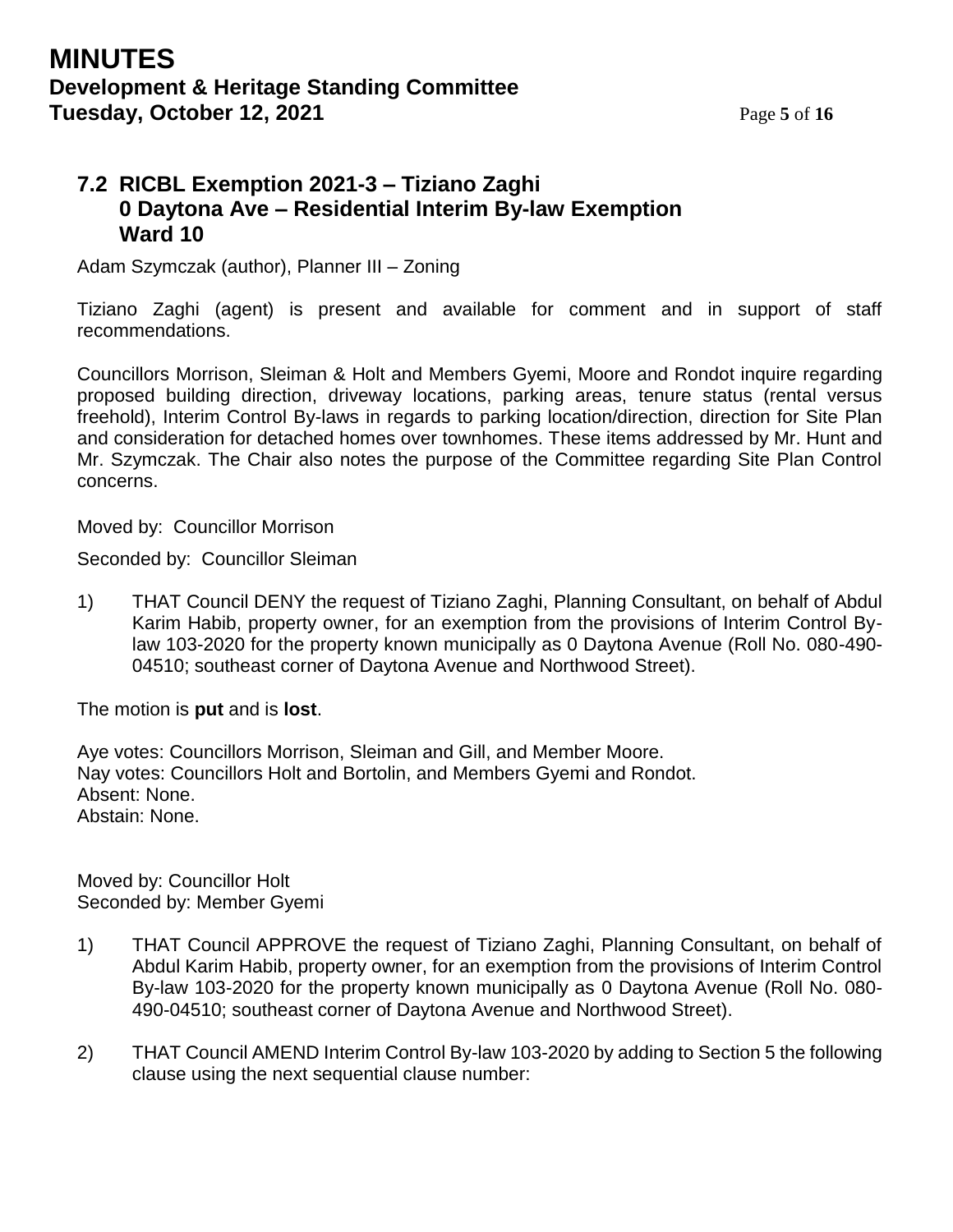## **MINUTES Development & Heritage Standing Committee Tuesday, October 12, 2021** Page 5 of 16

## **7.2 RICBL Exemption 2021-3 – Tiziano Zaghi 0 Daytona Ave – Residential Interim By-law Exemption Ward 10**

Adam Szymczak (author), Planner III – Zoning

Tiziano Zaghi (agent) is present and available for comment and in support of staff recommendations.

Councillors Morrison, Sleiman & Holt and Members Gyemi, Moore and Rondot inquire regarding proposed building direction, driveway locations, parking areas, tenure status (rental versus freehold), Interim Control By-laws in regards to parking location/direction, direction for Site Plan and consideration for detached homes over townhomes. These items addressed by Mr. Hunt and Mr. Szymczak. The Chair also notes the purpose of the Committee regarding Site Plan Control concerns.

**I** Moved by: Councillor Morrison

Seconded by: Councillor Sleiman

1) THAT Council DENY the request of Tiziano Zaghi, Planning Consultant, on behalf of Abdul Karim Habib, property owner, for an exemption from the provisions of Interim Control Bylaw 103-2020 for the property known municipally as 0 Daytona Avenue (Roll No. 080-490- 04510; southeast corner of Daytona Avenue and Northwood Street).

The motion is **put** and is **lost**.

Aye votes: Councillors Morrison, Sleiman and Gill, and Member Moore. Nay votes: Councillors Holt and Bortolin, and Members Gyemi and Rondot. Absent: None. Abstain: None.

Moved by: Councillor Holt Seconded by: Member Gyemi

- 1) THAT Council APPROVE the request of Tiziano Zaghi, Planning Consultant, on behalf of Abdul Karim Habib, property owner, for an exemption from the provisions of Interim Control By-law 103-2020 for the property known municipally as 0 Daytona Avenue (Roll No. 080- 490-04510; southeast corner of Daytona Avenue and Northwood Street).
- 2) THAT Council AMEND Interim Control By-law 103-2020 by adding to Section 5 the following clause using the next sequential clause number: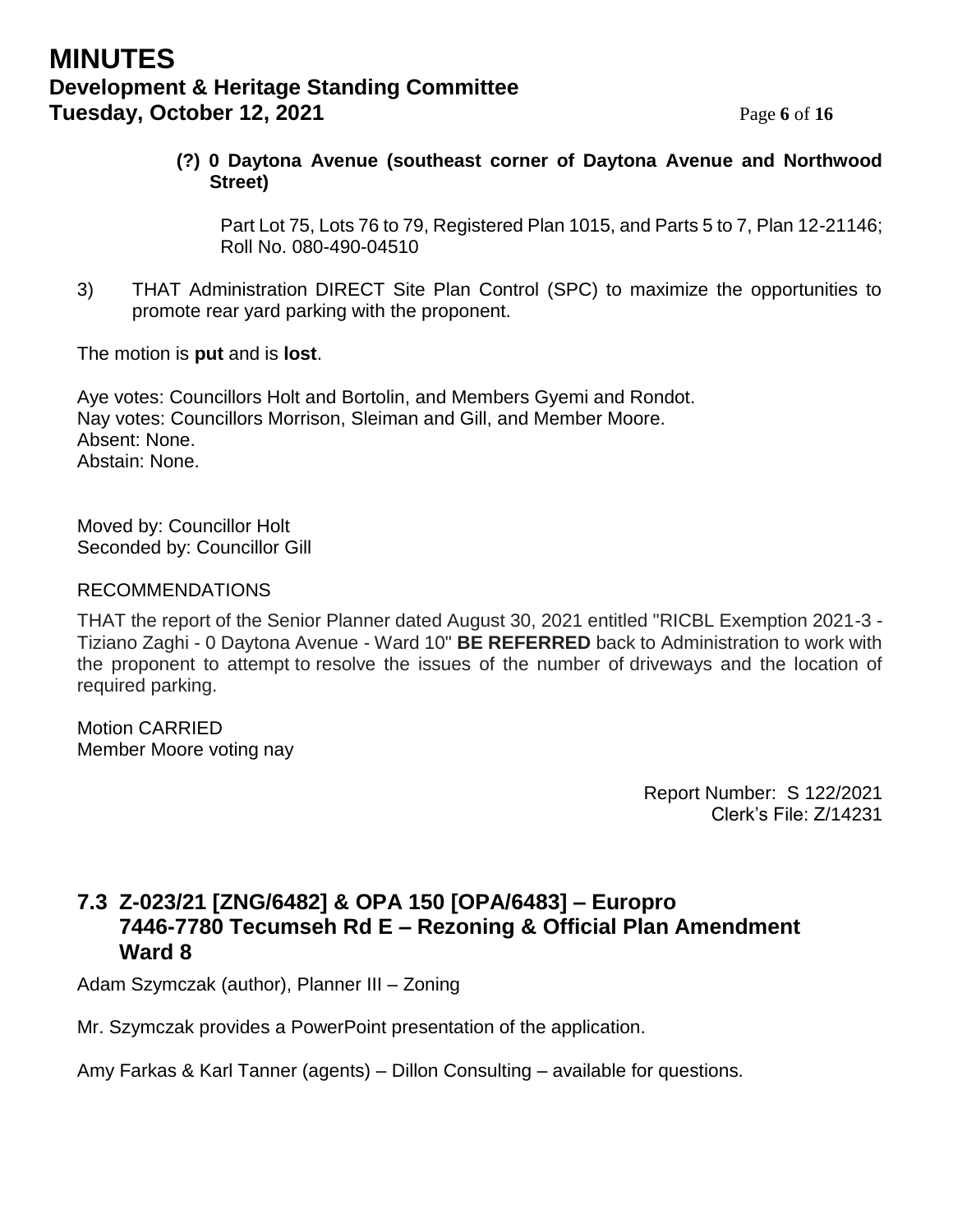## **MINUTES Development & Heritage Standing Committee Tuesday, October 12, 2021** Page 6 of 16

### **(?) 0 Daytona Avenue (southeast corner of Daytona Avenue and Northwood Street)**

Part Lot 75, Lots 76 to 79, Registered Plan 1015, and Parts 5 to 7, Plan 12-21146; Roll No. 080-490-04510

3) THAT Administration DIRECT Site Plan Control (SPC) to maximize the opportunities to promote rear yard parking with the proponent.

The motion is **put** and is **lost**.

Aye votes: Councillors Holt and Bortolin, and Members Gyemi and Rondot. Nay votes: Councillors Morrison, Sleiman and Gill, and Member Moore. Absent: None. Abstain: None.

Moved by: Councillor Holt Seconded by: Councillor Gill

### RECOMMENDATIONS

THAT the report of the Senior Planner dated August 30, 2021 entitled "RICBL Exemption 2021-3 - Tiziano Zaghi - 0 Daytona Avenue - Ward 10" **BE REFERRED** back to Administration to work with the proponent to attempt to resolve the issues of the number of driveways and the location of required parking.

Motion CARRIED Member Moore voting nay

> Report Number: S 122/2021 Clerk's File: Z/14231

## **7.3 Z-023/21 [ZNG/6482] & OPA 150 [OPA/6483] – Europro 7446-7780 Tecumseh Rd E – Rezoning & Official Plan Amendment Ward 8**

Adam Szymczak (author), Planner III – Zoning

Mr. Szymczak provides a PowerPoint presentation of the application.

Amy Farkas & Karl Tanner (agents) – Dillon Consulting – available for questions.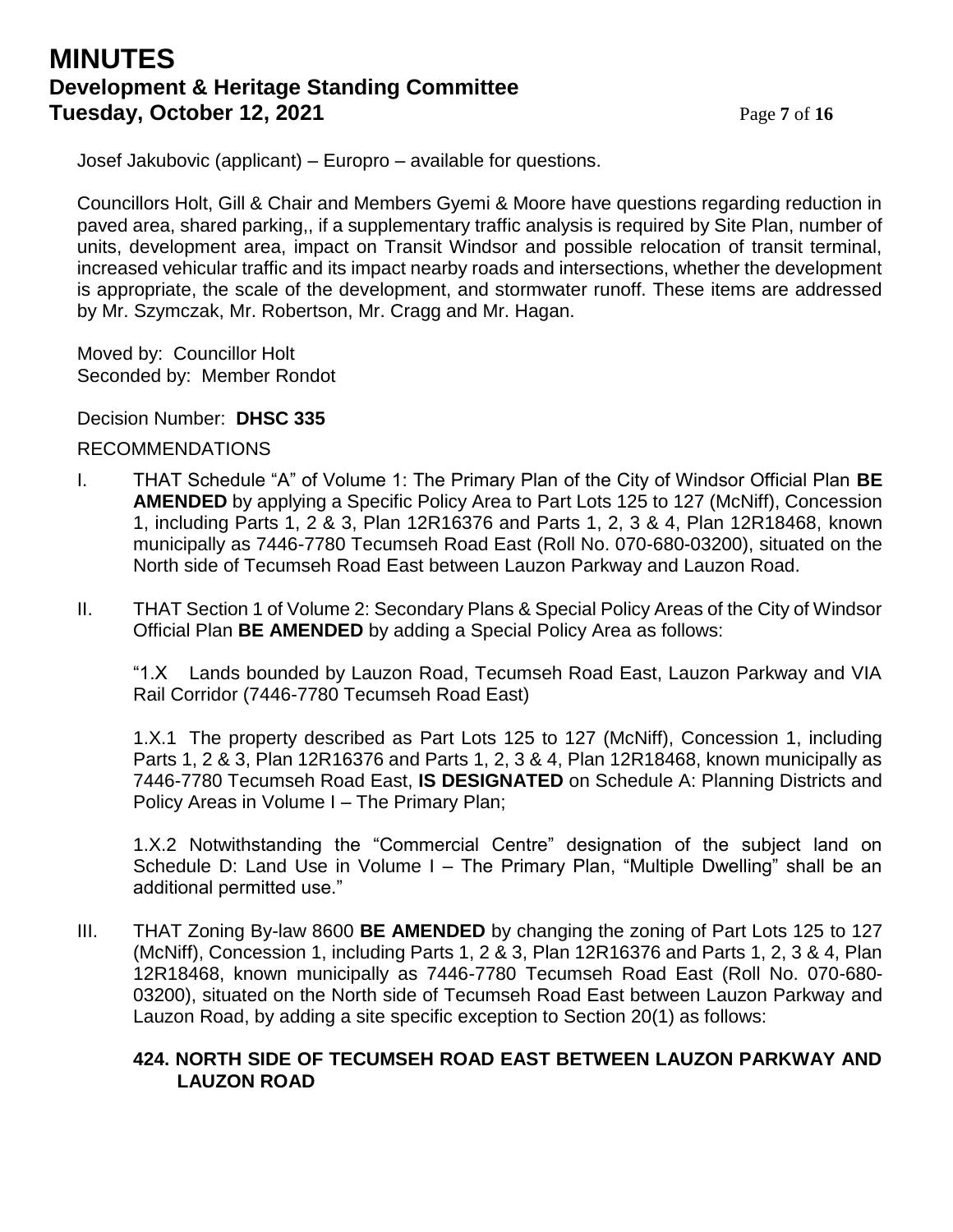## **MINUTES Development & Heritage Standing Committee Tuesday, October 12, 2021** Page 7 of 16

Josef Jakubovic (applicant) – Europro – available for questions.

Councillors Holt, Gill & Chair and Members Gyemi & Moore have questions regarding reduction in paved area, shared parking,, if a supplementary traffic analysis is required by Site Plan, number of units, development area, impact on Transit Windsor and possible relocation of transit terminal, increased vehicular traffic and its impact nearby roads and intersections, whether the development is appropriate, the scale of the development, and stormwater runoff. These items are addressed by Mr. Szymczak, Mr. Robertson, Mr. Cragg and Mr. Hagan.

Moved by: Councillor Holt Seconded by: Member Rondot

Decision Number: **DHSC 335**

#### RECOMMENDATIONS

- I. THAT Schedule "A" of Volume 1: The Primary Plan of the City of Windsor Official Plan **BE AMENDED** by applying a Specific Policy Area to Part Lots 125 to 127 (McNiff), Concession 1, including Parts 1, 2 & 3, Plan 12R16376 and Parts 1, 2, 3 & 4, Plan 12R18468, known municipally as 7446-7780 Tecumseh Road East (Roll No. 070-680-03200), situated on the North side of Tecumseh Road East between Lauzon Parkway and Lauzon Road.
- II. THAT Section 1 of Volume 2: Secondary Plans & Special Policy Areas of the City of Windsor Official Plan **BE AMENDED** by adding a Special Policy Area as follows:

"1.X Lands bounded by Lauzon Road, Tecumseh Road East, Lauzon Parkway and VIA Rail Corridor (7446-7780 Tecumseh Road East)

1.X.1 The property described as Part Lots 125 to 127 (McNiff), Concession 1, including Parts 1, 2 & 3, Plan 12R16376 and Parts 1, 2, 3 & 4, Plan 12R18468, known municipally as 7446-7780 Tecumseh Road East, **IS DESIGNATED** on Schedule A: Planning Districts and Policy Areas in Volume I – The Primary Plan;

1.X.2 Notwithstanding the "Commercial Centre" designation of the subject land on Schedule D: Land Use in Volume I – The Primary Plan, "Multiple Dwelling" shall be an additional permitted use."

III. THAT Zoning By-law 8600 **BE AMENDED** by changing the zoning of Part Lots 125 to 127 (McNiff), Concession 1, including Parts 1, 2 & 3, Plan 12R16376 and Parts 1, 2, 3 & 4, Plan 12R18468, known municipally as 7446-7780 Tecumseh Road East (Roll No. 070-680- 03200), situated on the North side of Tecumseh Road East between Lauzon Parkway and Lauzon Road, by adding a site specific exception to Section 20(1) as follows:

#### **424. NORTH SIDE OF TECUMSEH ROAD EAST BETWEEN LAUZON PARKWAY AND LAUZON ROAD**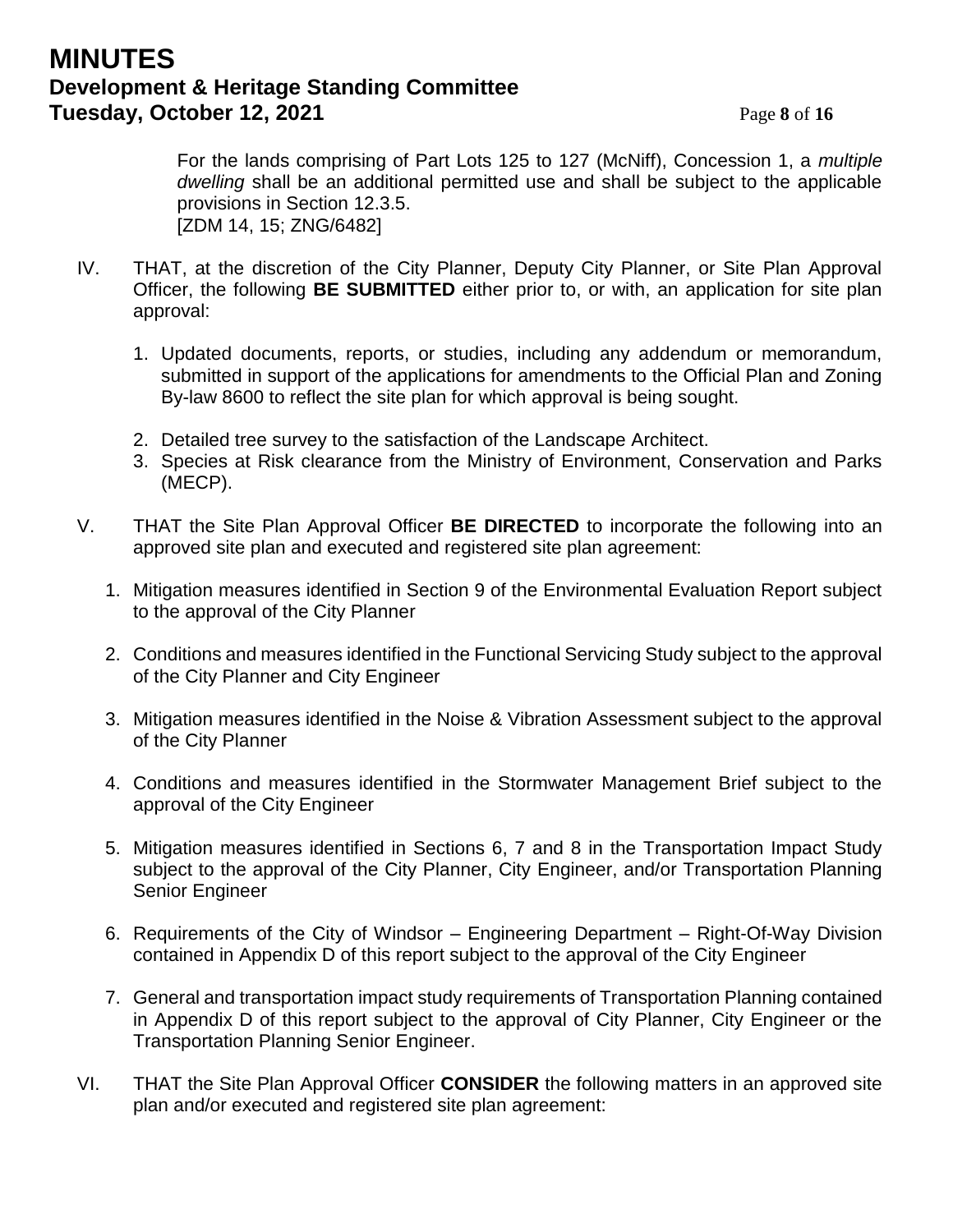## **MINUTES Development & Heritage Standing Committee Tuesday, October 12, 2021** Page 8 of 16

For the lands comprising of Part Lots 125 to 127 (McNiff), Concession 1, a *multiple dwelling* shall be an additional permitted use and shall be subject to the applicable provisions in Section 12.3.5. [ZDM 14, 15; ZNG/6482]

- IV. THAT, at the discretion of the City Planner, Deputy City Planner, or Site Plan Approval Officer, the following **BE SUBMITTED** either prior to, or with, an application for site plan approval:
	- 1. Updated documents, reports, or studies, including any addendum or memorandum, submitted in support of the applications for amendments to the Official Plan and Zoning By-law 8600 to reflect the site plan for which approval is being sought.
	- 2. Detailed tree survey to the satisfaction of the Landscape Architect.
	- 3. Species at Risk clearance from the Ministry of Environment, Conservation and Parks (MECP).
- V. THAT the Site Plan Approval Officer **BE DIRECTED** to incorporate the following into an approved site plan and executed and registered site plan agreement:
	- 1. Mitigation measures identified in Section 9 of the Environmental Evaluation Report subject to the approval of the City Planner
	- 2. Conditions and measures identified in the Functional Servicing Study subject to the approval of the City Planner and City Engineer
	- 3. Mitigation measures identified in the Noise & Vibration Assessment subject to the approval of the City Planner
	- 4. Conditions and measures identified in the Stormwater Management Brief subject to the approval of the City Engineer
	- 5. Mitigation measures identified in Sections 6, 7 and 8 in the Transportation Impact Study subject to the approval of the City Planner, City Engineer, and/or Transportation Planning Senior Engineer
	- 6. Requirements of the City of Windsor Engineering Department Right-Of-Way Division contained in Appendix D of this report subject to the approval of the City Engineer
	- 7. General and transportation impact study requirements of Transportation Planning contained in Appendix D of this report subject to the approval of City Planner, City Engineer or the Transportation Planning Senior Engineer.
- VI. THAT the Site Plan Approval Officer **CONSIDER** the following matters in an approved site plan and/or executed and registered site plan agreement: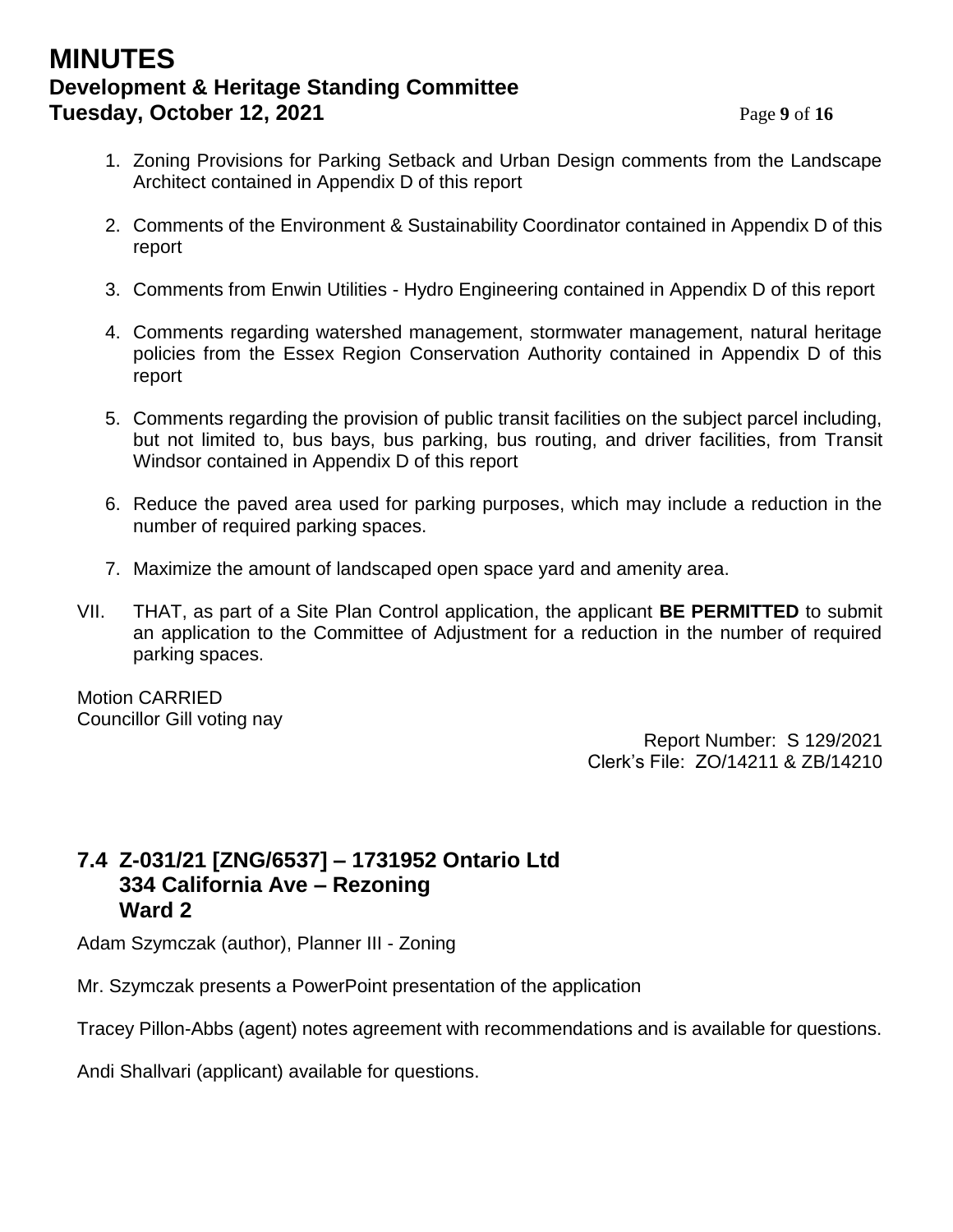## **MINUTES Development & Heritage Standing Committee Tuesday, October 12, 2021** Page 9 of 16

- 1. Zoning Provisions for Parking Setback and Urban Design comments from the Landscape Architect contained in Appendix D of this report
- 2. Comments of the Environment & Sustainability Coordinator contained in Appendix D of this report
- 3. Comments from Enwin Utilities Hydro Engineering contained in Appendix D of this report
- 4. Comments regarding watershed management, stormwater management, natural heritage policies from the Essex Region Conservation Authority contained in Appendix D of this report
- 5. Comments regarding the provision of public transit facilities on the subject parcel including, but not limited to, bus bays, bus parking, bus routing, and driver facilities, from Transit Windsor contained in Appendix D of this report
- 6. Reduce the paved area used for parking purposes, which may include a reduction in the number of required parking spaces.
- 7. Maximize the amount of landscaped open space yard and amenity area.
- VII. THAT, as part of a Site Plan Control application, the applicant **BE PERMITTED** to submit an application to the Committee of Adjustment for a reduction in the number of required parking spaces.

Motion CARRIED Councillor Gill voting nay

Report Number: S 129/2021 Clerk's File: ZO/14211 & ZB/14210

## **7.4 Z-031/21 [ZNG/6537] – 1731952 Ontario Ltd 334 California Ave – Rezoning Ward 2**

Adam Szymczak (author), Planner III - Zoning

Mr. Szymczak presents a PowerPoint presentation of the application

Tracey Pillon-Abbs (agent) notes agreement with recommendations and is available for questions.

Andi Shallvari (applicant) available for questions.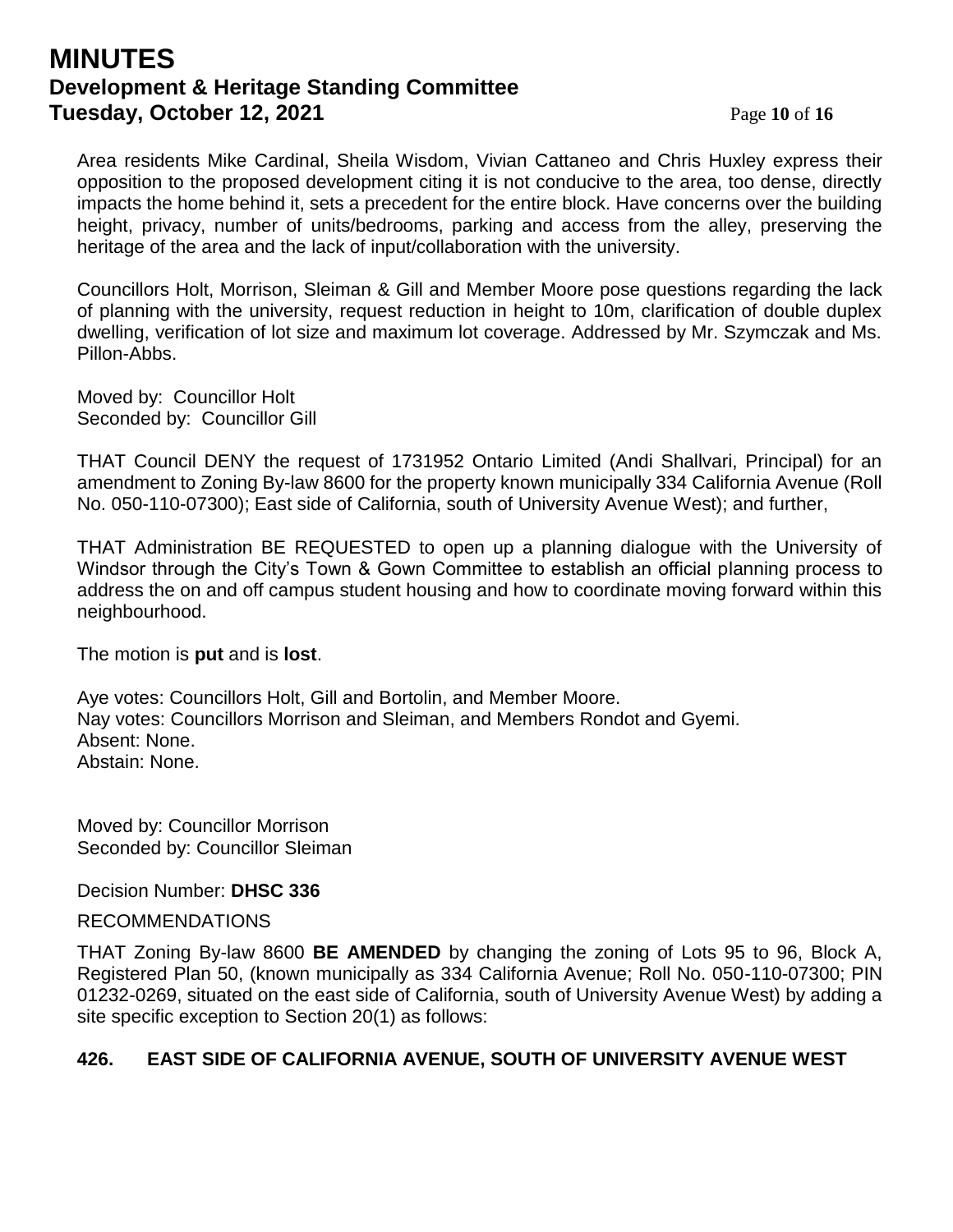## **MINUTES Development & Heritage Standing Committee Tuesday, October 12, 2021** Page 10 of 16

Area residents Mike Cardinal, Sheila Wisdom, Vivian Cattaneo and Chris Huxley express their opposition to the proposed development citing it is not conducive to the area, too dense, directly impacts the home behind it, sets a precedent for the entire block. Have concerns over the building height, privacy, number of units/bedrooms, parking and access from the alley, preserving the heritage of the area and the lack of input/collaboration with the university.

Councillors Holt, Morrison, Sleiman & Gill and Member Moore pose questions regarding the lack of planning with the university, request reduction in height to 10m, clarification of double duplex dwelling, verification of lot size and maximum lot coverage. Addressed by Mr. Szymczak and Ms. Pillon-Abbs.

Moved by: Councillor Holt Seconded by: Councillor Gill

THAT Council DENY the request of 1731952 Ontario Limited (Andi Shallvari, Principal) for an amendment to Zoning By-law 8600 for the property known municipally 334 California Avenue (Roll No. 050-110-07300); East side of California, south of University Avenue West); and further,

THAT Administration BE REQUESTED to open up a planning dialogue with the University of Windsor through the City's Town & Gown Committee to establish an official planning process to address the on and off campus student housing and how to coordinate moving forward within this neighbourhood.

The motion is **put** and is **lost**.

Aye votes: Councillors Holt, Gill and Bortolin, and Member Moore. Nay votes: Councillors Morrison and Sleiman, and Members Rondot and Gyemi. Absent: None. Abstain: None.

Moved by: Councillor Morrison Seconded by: Councillor Sleiman

Decision Number: **DHSC 336**

#### RECOMMENDATIONS

THAT Zoning By-law 8600 **BE AMENDED** by changing the zoning of Lots 95 to 96, Block A, Registered Plan 50, (known municipally as 334 California Avenue; Roll No. 050-110-07300; PIN 01232-0269, situated on the east side of California, south of University Avenue West) by adding a site specific exception to Section 20(1) as follows:

### **426. EAST SIDE OF CALIFORNIA AVENUE, SOUTH OF UNIVERSITY AVENUE WEST**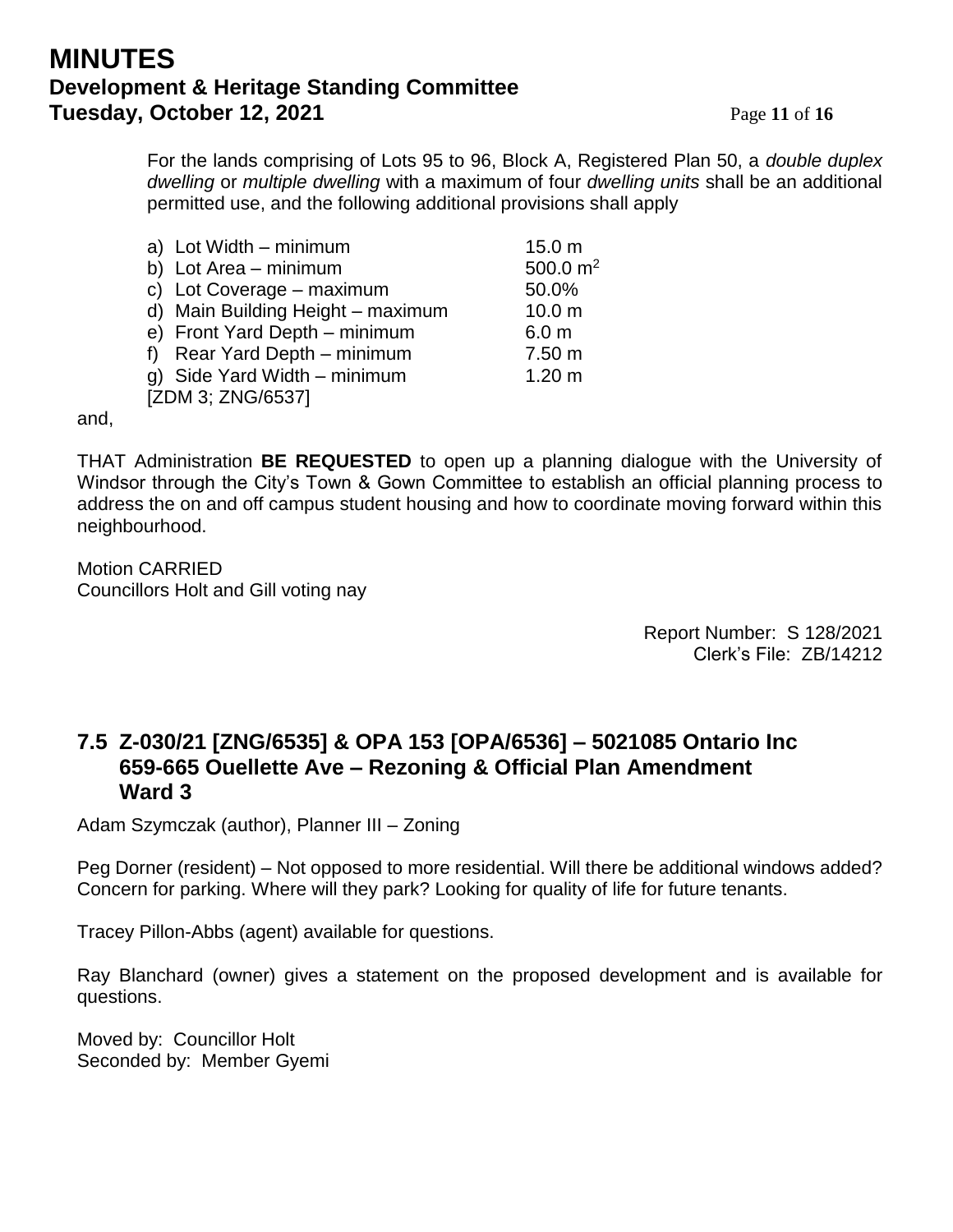## **MINUTES Development & Heritage Standing Committee Tuesday, October 12, 2021** Page 11 of 16

For the lands comprising of Lots 95 to 96, Block A, Registered Plan 50, a *double duplex dwelling* or *multiple dwelling* with a maximum of four *dwelling units* shall be an additional permitted use, and the following additional provisions shall apply

|                   | a) Lot Width - minimum            | 15.0 <sub>m</sub> |  |
|-------------------|-----------------------------------|-------------------|--|
|                   | b) Lot Area - minimum             | 500.0 $m2$        |  |
|                   | c) Lot Coverage - maximum         | 50.0%             |  |
|                   | d) Main Building Height - maximum | 10.0 <sub>m</sub> |  |
|                   | e) Front Yard Depth - minimum     | 6.0 <sub>m</sub>  |  |
|                   | f) Rear Yard Depth - minimum      | 7.50 m            |  |
|                   | g) Side Yard Width - minimum      | 1.20 m            |  |
| [ZDM 3; ZNG/6537] |                                   |                   |  |

and,

THAT Administration **BE REQUESTED** to open up a planning dialogue with the University of Windsor through the City's Town & Gown Committee to establish an official planning process to address the on and off campus student housing and how to coordinate moving forward within this neighbourhood.

Motion CARRIED Councillors Holt and Gill voting nay

> Report Number: S 128/2021 Clerk's File: ZB/14212

## **7.5 Z-030/21 [ZNG/6535] & OPA 153 [OPA/6536] – 5021085 Ontario Inc 659-665 Ouellette Ave – Rezoning & Official Plan Amendment Ward 3**

Adam Szymczak (author), Planner III – Zoning

Peg Dorner (resident) – Not opposed to more residential. Will there be additional windows added? Concern for parking. Where will they park? Looking for quality of life for future tenants.

Tracey Pillon-Abbs (agent) available for questions.

Ray Blanchard (owner) gives a statement on the proposed development and is available for questions.

Moved by: Councillor Holt Seconded by: Member Gyemi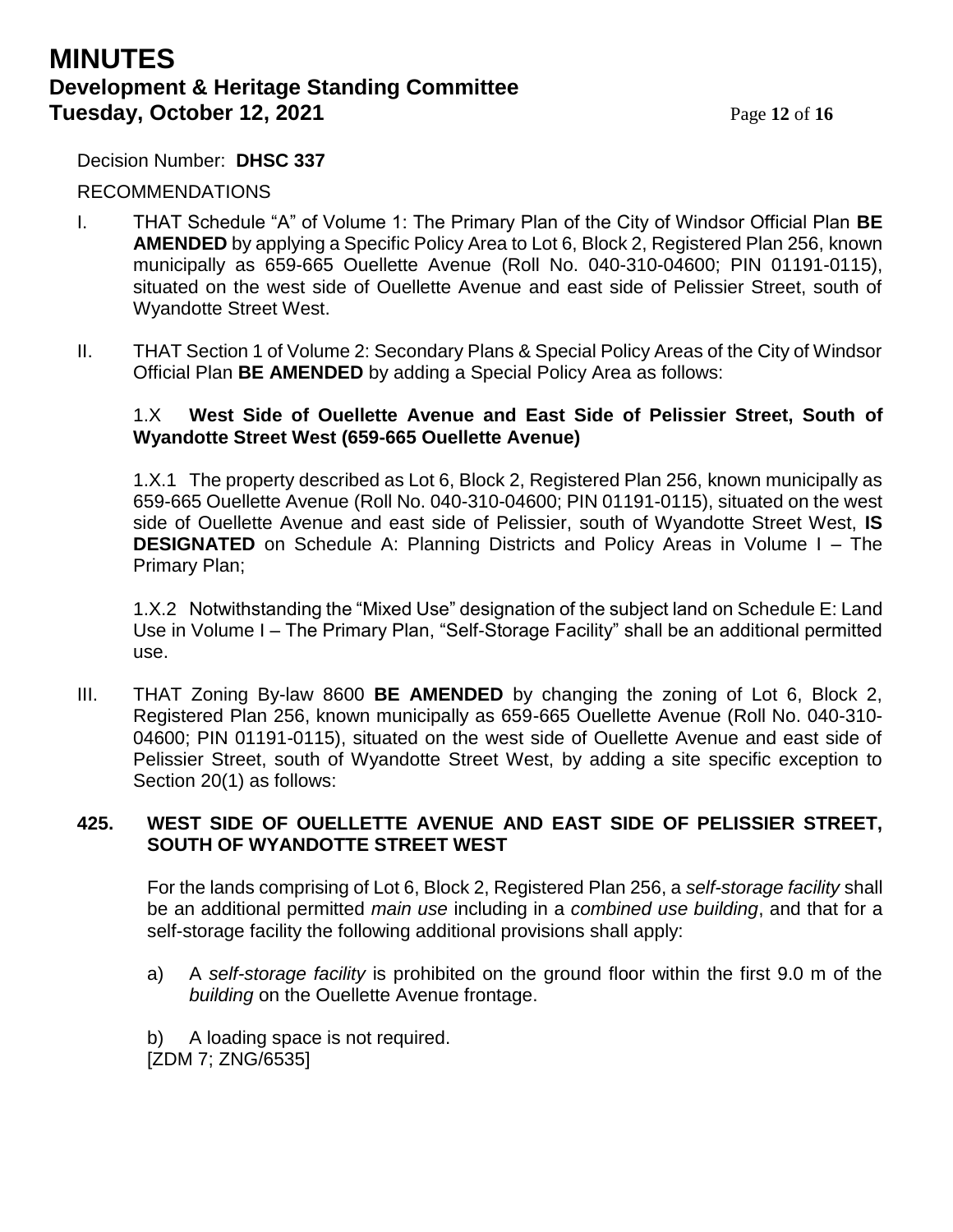## **MINUTES Development & Heritage Standing Committee Tuesday, October 12, 2021** Page 12 of 16

Decision Number: **DHSC 337**

#### RECOMMENDATIONS

- I. THAT Schedule "A" of Volume 1: The Primary Plan of the City of Windsor Official Plan **BE AMENDED** by applying a Specific Policy Area to Lot 6, Block 2, Registered Plan 256, known municipally as 659-665 Ouellette Avenue (Roll No. 040-310-04600; PIN 01191-0115), situated on the west side of Ouellette Avenue and east side of Pelissier Street, south of Wyandotte Street West.
- II. THAT Section 1 of Volume 2: Secondary Plans & Special Policy Areas of the City of Windsor Official Plan **BE AMENDED** by adding a Special Policy Area as follows:

#### 1.X **West Side of Ouellette Avenue and East Side of Pelissier Street, South of Wyandotte Street West (659-665 Ouellette Avenue)**

1.X.1 The property described as Lot 6, Block 2, Registered Plan 256, known municipally as 659-665 Ouellette Avenue (Roll No. 040-310-04600; PIN 01191-0115), situated on the west side of Ouellette Avenue and east side of Pelissier, south of Wyandotte Street West, **IS DESIGNATED** on Schedule A: Planning Districts and Policy Areas in Volume I – The Primary Plan;

1.X.2 Notwithstanding the "Mixed Use" designation of the subject land on Schedule E: Land Use in Volume I – The Primary Plan, "Self-Storage Facility" shall be an additional permitted use.

III. THAT Zoning By-law 8600 **BE AMENDED** by changing the zoning of Lot 6, Block 2, Registered Plan 256, known municipally as 659-665 Ouellette Avenue (Roll No. 040-310- 04600; PIN 01191-0115), situated on the west side of Ouellette Avenue and east side of Pelissier Street, south of Wyandotte Street West, by adding a site specific exception to Section 20(1) as follows:

#### **425. WEST SIDE OF OUELLETTE AVENUE AND EAST SIDE OF PELISSIER STREET, SOUTH OF WYANDOTTE STREET WEST**

For the lands comprising of Lot 6, Block 2, Registered Plan 256, a *self-storage facility* shall be an additional permitted *main use* including in a *combined use building*, and that for a self-storage facility the following additional provisions shall apply:

- a) A *self-storage facility* is prohibited on the ground floor within the first 9.0 m of the *building* on the Ouellette Avenue frontage.
- b) A loading space is not required.

[ZDM 7; ZNG/6535]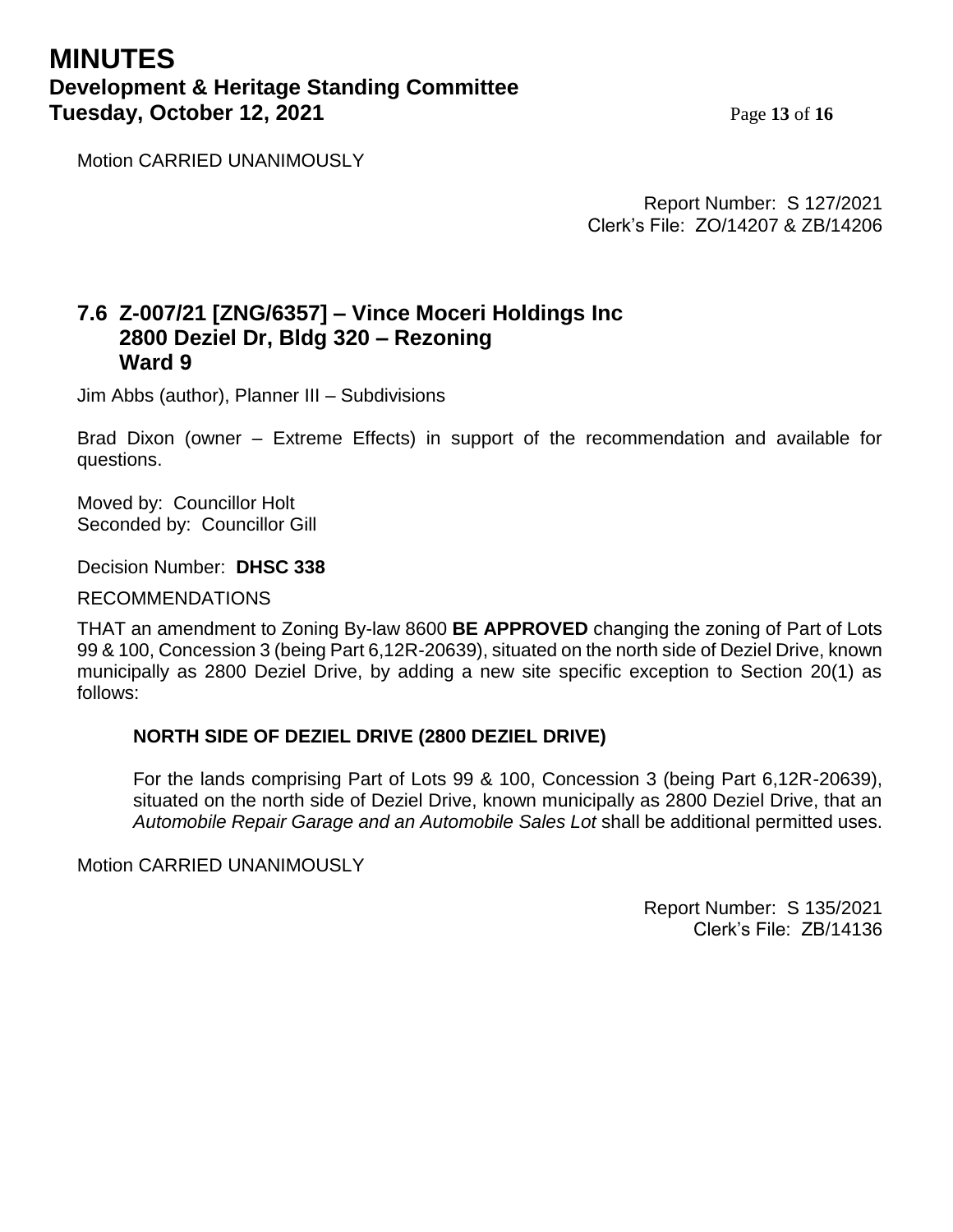## **MINUTES Development & Heritage Standing Committee Tuesday, October 12, 2021** Page 13 of 16

Motion CARRIED UNANIMOUSLY

Report Number: S 127/2021 Clerk's File: ZO/14207 & ZB/14206

### **7.6 Z-007/21 [ZNG/6357] – Vince Moceri Holdings Inc 2800 Deziel Dr, Bldg 320 – Rezoning Ward 9**

Jim Abbs (author), Planner III – Subdivisions

Brad Dixon (owner – Extreme Effects) in support of the recommendation and available for questions.

Moved by: Councillor Holt Seconded by: Councillor Gill

Decision Number: **DHSC 338**

RECOMMENDATIONS

THAT an amendment to Zoning By-law 8600 **BE APPROVED** changing the zoning of Part of Lots 99 & 100, Concession 3 (being Part 6,12R-20639), situated on the north side of Deziel Drive, known municipally as 2800 Deziel Drive, by adding a new site specific exception to Section 20(1) as follows:

#### **NORTH SIDE OF DEZIEL DRIVE (2800 DEZIEL DRIVE)**

For the lands comprising Part of Lots 99 & 100, Concession 3 (being Part 6,12R-20639), situated on the north side of Deziel Drive, known municipally as 2800 Deziel Drive, that an *Automobile Repair Garage and an Automobile Sales Lot* shall be additional permitted uses.

Motion CARRIED UNANIMOUSLY

Report Number: S 135/2021 Clerk's File: ZB/14136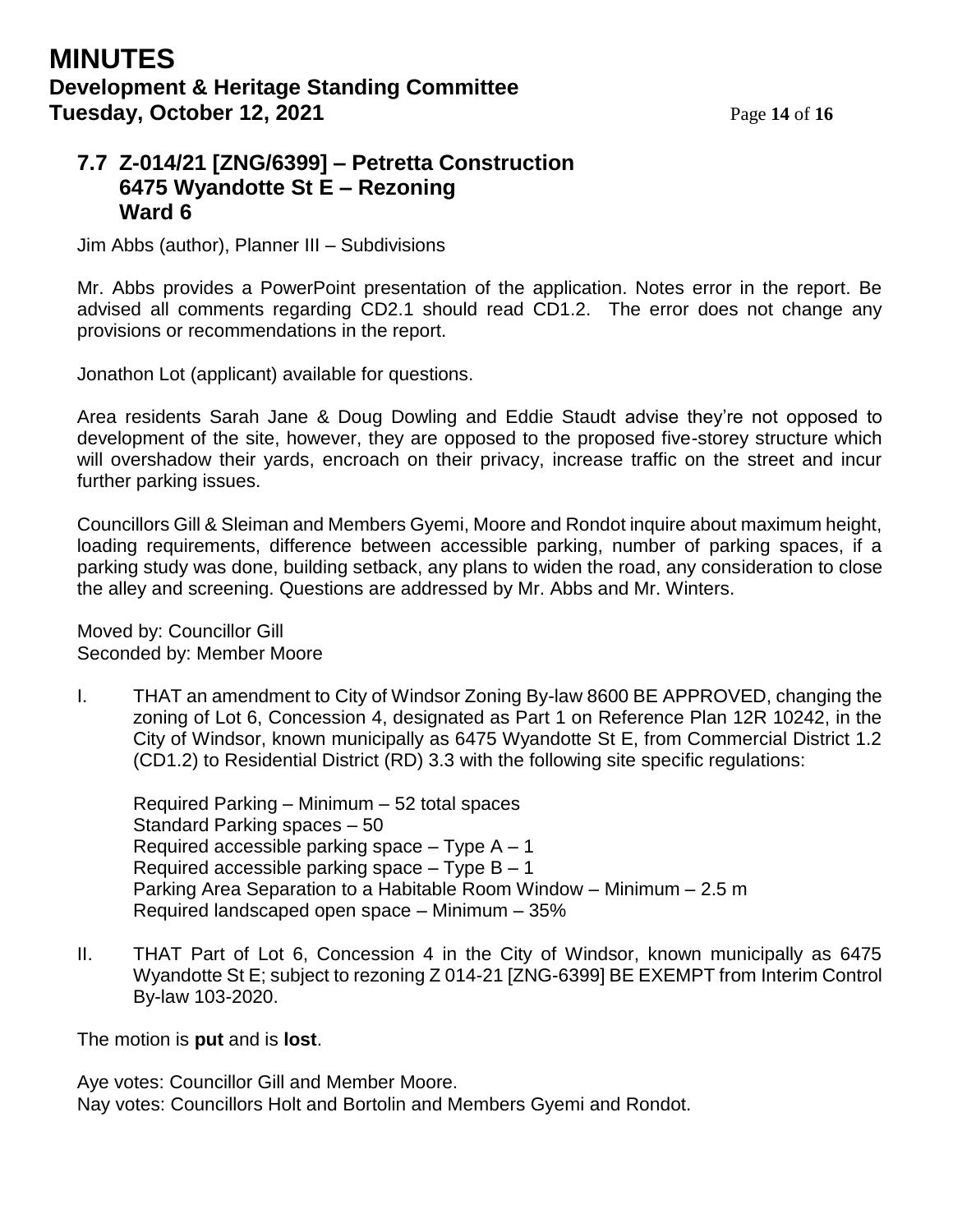## **7.7 Z-014/21 [ZNG/6399] – Petretta Construction 6475 Wyandotte St E – Rezoning Ward 6**

Jim Abbs (author), Planner III – Subdivisions

Mr. Abbs provides a PowerPoint presentation of the application. Notes error in the report. Be advised all comments regarding CD2.1 should read CD1.2. The error does not change any provisions or recommendations in the report.

Jonathon Lot (applicant) available for questions.

Area residents Sarah Jane & Doug Dowling and Eddie Staudt advise they're not opposed to development of the site, however, they are opposed to the proposed five-storey structure which will overshadow their yards, encroach on their privacy, increase traffic on the street and incur further parking issues.

Councillors Gill & Sleiman and Members Gyemi, Moore and Rondot inquire about maximum height, loading requirements, difference between accessible parking, number of parking spaces, if a parking study was done, building setback, any plans to widen the road, any consideration to close the alley and screening. Questions are addressed by Mr. Abbs and Mr. Winters.

Moved by: Councillor Gill Seconded by: Member Moore

I. THAT an amendment to City of Windsor Zoning By-law 8600 BE APPROVED, changing the zoning of Lot 6, Concession 4, designated as Part 1 on Reference Plan 12R 10242, in the City of Windsor, known municipally as 6475 Wyandotte St E, from Commercial District 1.2 (CD1.2) to Residential District (RD) 3.3 with the following site specific regulations:

Required Parking – Minimum – 52 total spaces Standard Parking spaces – 50 Required accessible parking space  $-$  Type A  $-1$ Required accessible parking space  $-$  Type B  $-$  1 Parking Area Separation to a Habitable Room Window – Minimum – 2.5 m Required landscaped open space – Minimum – 35%

II. THAT Part of Lot 6, Concession 4 in the City of Windsor, known municipally as 6475 Wyandotte St E; subject to rezoning Z 014-21 [ZNG-6399] BE EXEMPT from Interim Control By-law 103-2020.

The motion is **put** and is **lost**.

Aye votes: Councillor Gill and Member Moore. Nay votes: Councillors Holt and Bortolin and Members Gyemi and Rondot.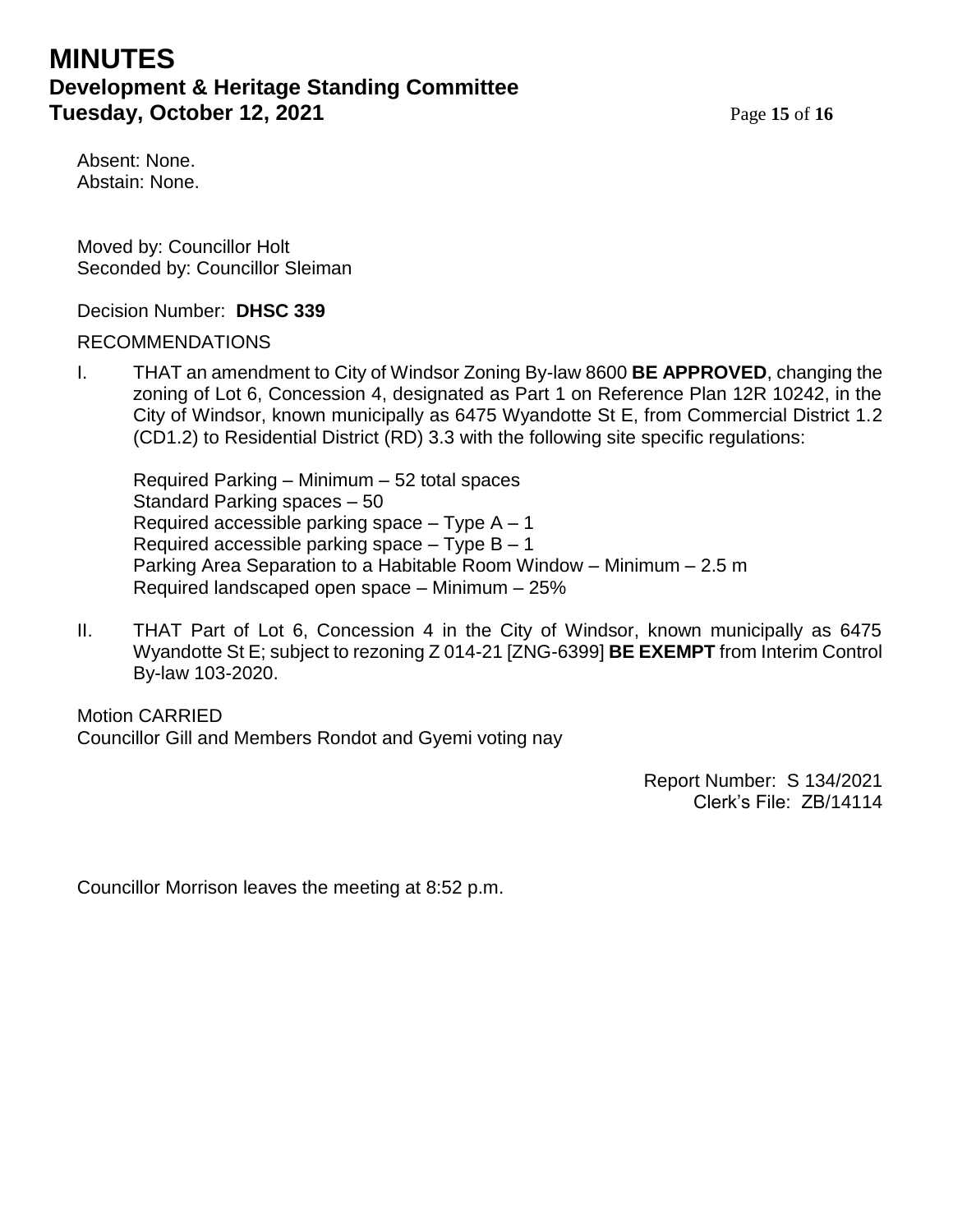# **MINUTES Development & Heritage Standing Committee Tuesday, October 12, 2021** Page 15 of 16

Absent: None. Abstain: None.

Moved by: Councillor Holt Seconded by: Councillor Sleiman

#### Decision Number: **DHSC 339**

#### RECOMMENDATIONS

I. THAT an amendment to City of Windsor Zoning By-law 8600 **BE APPROVED**, changing the zoning of Lot 6, Concession 4, designated as Part 1 on Reference Plan 12R 10242, in the City of Windsor, known municipally as 6475 Wyandotte St E, from Commercial District 1.2 (CD1.2) to Residential District (RD) 3.3 with the following site specific regulations:

Required Parking – Minimum – 52 total spaces Standard Parking spaces – 50 Required accessible parking space  $-$  Type A  $-1$ Required accessible parking space  $-$  Type B  $-$  1 Parking Area Separation to a Habitable Room Window – Minimum – 2.5 m Required landscaped open space – Minimum – 25%

II. THAT Part of Lot 6, Concession 4 in the City of Windsor, known municipally as 6475 Wyandotte St E; subject to rezoning Z 014-21 [ZNG-6399] **BE EXEMPT** from Interim Control By-law 103-2020.

Motion CARRIED Councillor Gill and Members Rondot and Gyemi voting nay

> Report Number: S 134/2021 Clerk's File: ZB/14114

Councillor Morrison leaves the meeting at 8:52 p.m.